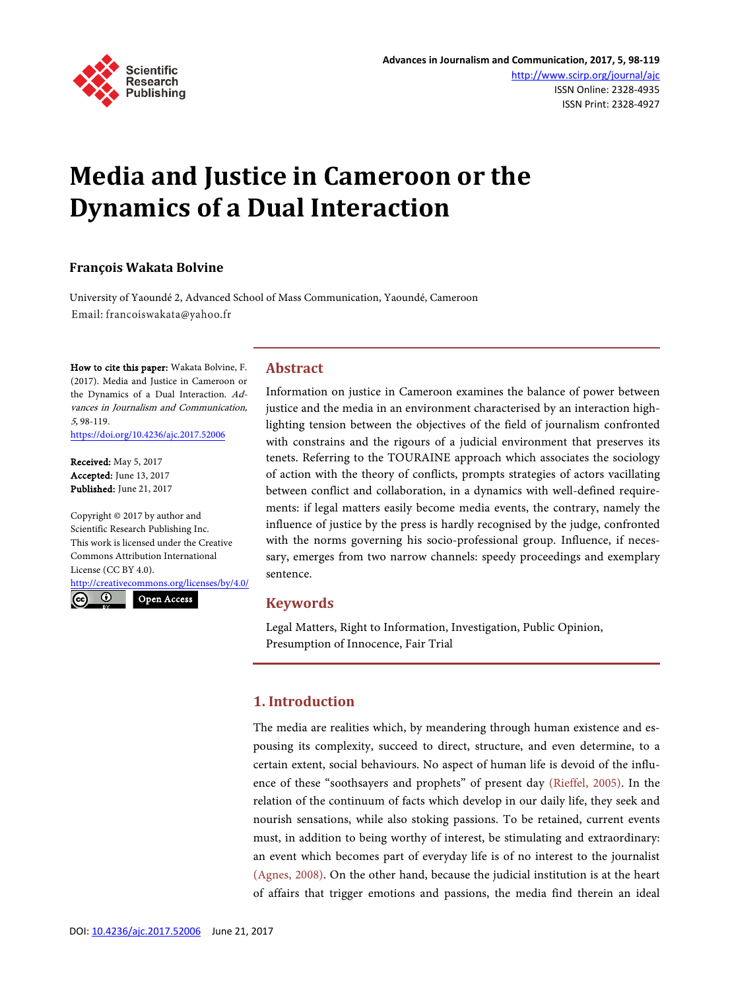

# **Media and Justice in Cameroon or the Dynamics of a Dual Interaction**

## **François Wakata Bolvine**

University of Yaoundé 2, Advanced School of Mass Communication, Yaoundé, Cameroon Email: francoiswakata@yahoo.fr

How to cite this paper: Wakata Bolvine, F. (2017). Media and Justice in Cameroon or the Dynamics of a Dual Interaction. Advances in Journalism and Communication, 5, 98-119. <https://doi.org/10.4236/ajc.2017.52006>

Received: May 5, 2017 Accepted: June 13, 2017 Published: June 21, 2017

Copyright © 2017 by author and Scientific Research Publishing Inc. This work is licensed under the Creative Commons Attribution International License (CC BY 4.0). <http://creativecommons.org/licenses/by/4.0/>

<u>ල</u>  $\odot$ 

Open Access

# **Abstract**

Information on justice in Cameroon examines the balance of power between justice and the media in an environment characterised by an interaction highlighting tension between the objectives of the field of journalism confronted with constrains and the rigours of a judicial environment that preserves its tenets. Referring to the TOURAINE approach which associates the sociology of action with the theory of conflicts, prompts strategies of actors vacillating between conflict and collaboration, in a dynamics with well-defined requirements: if legal matters easily become media events, the contrary, namely the influence of justice by the press is hardly recognised by the judge, confronted with the norms governing his socio-professional group. Influence, if necessary, emerges from two narrow channels: speedy proceedings and exemplary sentence.

# **Keywords**

Legal Matters, Right to Information, Investigation, Public Opinion, Presumption of Innocence, Fair Trial

# **1. Introduction**

The media are realities which, by meandering through human existence and espousing its complexity, succeed to direct, structure, and even determine, to a certain extent, social behaviours. No aspect of human life is devoid of the influence of these "soothsayers and prophets" of present day [\(Rieffel,](#page-21-0) 2005). In the relation of the continuum of facts which develop in our daily life, they seek and nourish sensations, while also stoking passions. To be retained, current events must, in addition to being worthy of interest, be stimulating and extraordinary: an event which becomes part of everyday life is of no interest to the journalist [\(Agnes, 2008\).](#page-20-0) On the other hand, because the judicial institution is at the heart of affairs that trigger emotions and passions, the media find therein an ideal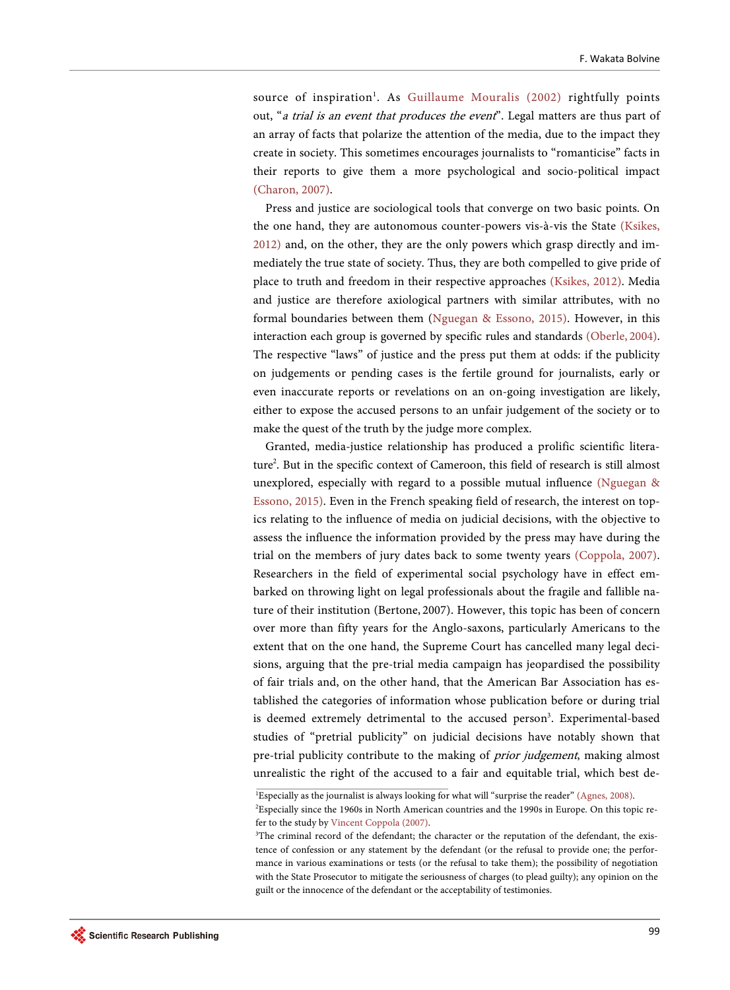source of inspiration<sup>1</sup>. As [Guillaume Mouralis \(2002\)](#page-21-1) rightfully points out, "a trial is an event that produces the event". Legal matters are thus part of an array of facts that polarize the attention of the media, due to the impact they create in society. This sometimes encourages journalists to "romanticise" facts in their reports to give them a more psychological and socio-political impact [\(Charon, 2007\).](#page-20-1)

Press and justice are sociological tools that converge on two basic points. On the one hand, they are autonomous counter-powers vis-à-vis the State [\(Ksikes,](#page-21-2)  [2012\)](#page-21-2) and, on the other, they are the only powers which grasp directly and immediately the true state of society. Thus, they are both compelled to give pride of place to truth and freedom in their respective approaches [\(Ksikes, 2012\).](#page-21-2) Media and justice are therefore axiological partners with similar attributes, with no formal boundaries between them (Nguegan [& Essono, 2015\).](#page-21-3) However, in this interaction each group is governed by specific rules and standards [\(Oberle,](#page-21-4) 2004). The respective "laws" of justice and the press put them at odds: if the publicity on judgements or pending cases is the fertile ground for journalists, early or even inaccurate reports or revelations on an on-going investigation are likely, either to expose the accused persons to an unfair judgement of the society or to make the quest of the truth by the judge more complex.

Granted, media-justice relationship has produced a prolific scientific literature<sup>2</sup>. But in the specific context of Cameroon, this field of research is still almost unexplored, especially with regard to a possible mutual influence [\(Nguegan](#page-21-3) & [Essono, 2015\).](#page-21-3) Even in the French speaking field of research, the interest on topics relating to the influence of media on judicial decisions, with the objective to assess the influence the information provided by the press may have during the trial on the members of jury dates back to some twenty years [\(Coppola, 2007\).](#page-20-2)  Researchers in the field of experimental social psychology have in effect embarked on throwing light on legal professionals about the fragile and fallible nature of their institution (Bertone, 2007). However, this topic has been of concern over more than fifty years for the Anglo-saxons, particularly Americans to the extent that on the one hand, the Supreme Court has cancelled many legal decisions, arguing that the pre-trial media campaign has jeopardised the possibility of fair trials and, on the other hand, that the American Bar Association has established the categories of information whose publication before or during trial is deemed extremely detrimental to the accused person<sup>3</sup>. Experimental-based studies of "pretrial publicity" on judicial decisions have notably shown that pre-trial publicity contribute to the making of *prior judgement*, making almost unrealistic the right of the accused to a fair and equitable trial, which best de-

<sup>1</sup> Especially as the journalist is always looking for what will "surprise the reader" [\(Agnes, 2008\).](#page-20-0)

<sup>2</sup> Especially since the 1960s in North American countries and the 1990s in Europe. On this topic refer to the study by [Vincent Coppola \(2007\).](#page-20-2)

<sup>&</sup>lt;sup>3</sup>The criminal record of the defendant; the character or the reputation of the defendant, the existence of confession or any statement by the defendant (or the refusal to provide one; the performance in various examinations or tests (or the refusal to take them); the possibility of negotiation with the State Prosecutor to mitigate the seriousness of charges (to plead guilty); any opinion on the guilt or the innocence of the defendant or the acceptability of testimonies.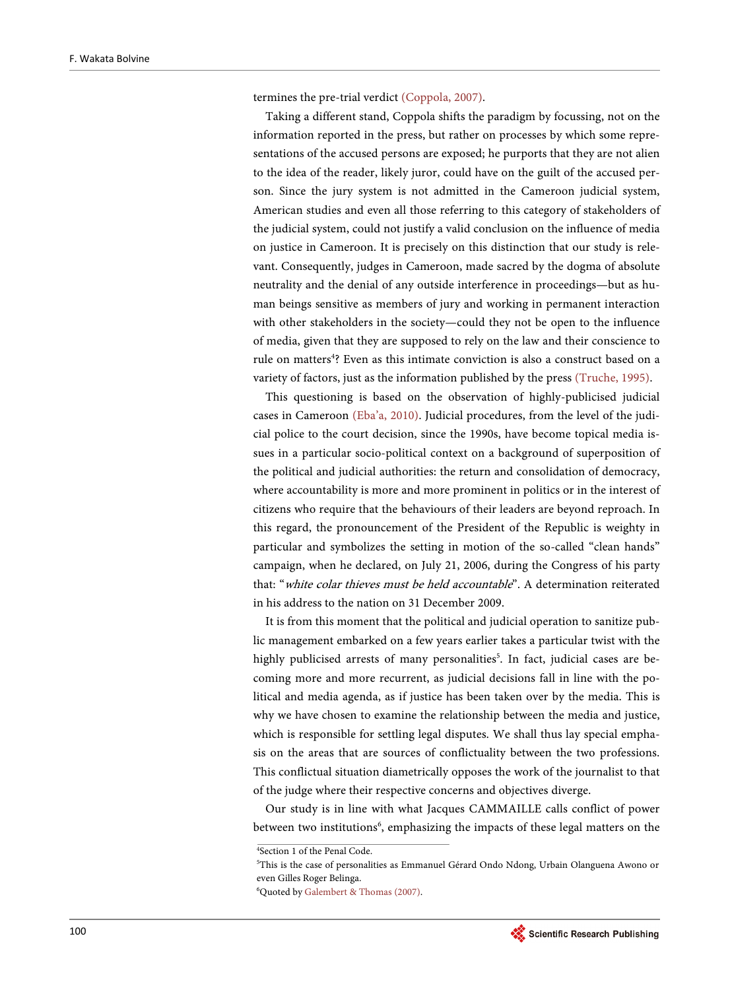termines the pre-trial verdict [\(Coppola, 2007\).](#page-20-2)

Taking a different stand, Coppola shifts the paradigm by focussing, not on the information reported in the press, but rather on processes by which some representations of the accused persons are exposed; he purports that they are not alien to the idea of the reader, likely juror, could have on the guilt of the accused person. Since the jury system is not admitted in the Cameroon judicial system, American studies and even all those referring to this category of stakeholders of the judicial system, could not justify a valid conclusion on the influence of media on justice in Cameroon. It is precisely on this distinction that our study is relevant. Consequently, judges in Cameroon, made sacred by the dogma of absolute neutrality and the denial of any outside interference in proceedings—but as human beings sensitive as members of jury and working in permanent interaction with other stakeholders in the society—could they not be open to the influence of media, given that they are supposed to rely on the law and their conscience to rule on matters<sup>4</sup>? Even as this intimate conviction is also a construct based on a variety of factors, just as the information published by the press [\(Truche, 1995\).](#page-21-5)

This questioning is based on the observation of highly-publicised judicial cases in Cameroon [\(Eba'a, 2010\).](#page-20-3) Judicial procedures, from the level of the judicial police to the court decision, since the 1990s, have become topical media issues in a particular socio-political context on a background of superposition of the political and judicial authorities: the return and consolidation of democracy, where accountability is more and more prominent in politics or in the interest of citizens who require that the behaviours of their leaders are beyond reproach. In this regard, the pronouncement of the President of the Republic is weighty in particular and symbolizes the setting in motion of the so-called "clean hands" campaign, when he declared, on July 21, 2006, during the Congress of his party that: "white colar thieves must be held accountable". A determination reiterated in his address to the nation on 31 December 2009.

It is from this moment that the political and judicial operation to sanitize public management embarked on a few years earlier takes a particular twist with the highly publicised arrests of many personalities<sup>5</sup>. In fact, judicial cases are becoming more and more recurrent, as judicial decisions fall in line with the political and media agenda, as if justice has been taken over by the media. This is why we have chosen to examine the relationship between the media and justice, which is responsible for settling legal disputes. We shall thus lay special emphasis on the areas that are sources of conflictuality between the two professions. This conflictual situation diametrically opposes the work of the journalist to that of the judge where their respective concerns and objectives diverge.

Our study is in line with what Jacques CAMMAILLE calls conflict of power between two institutions<sup>6</sup>, emphasizing the impacts of these legal matters on the



<sup>4</sup> Section 1 of the Penal Code.

<sup>5</sup> This is the case of personalities as Emmanuel Gérard Ondo Ndong, Urbain Olanguena Awono or even Gilles Roger Belinga.

<sup>6</sup> Quoted b[y Galembert & Thomas](#page-20-4) (2007).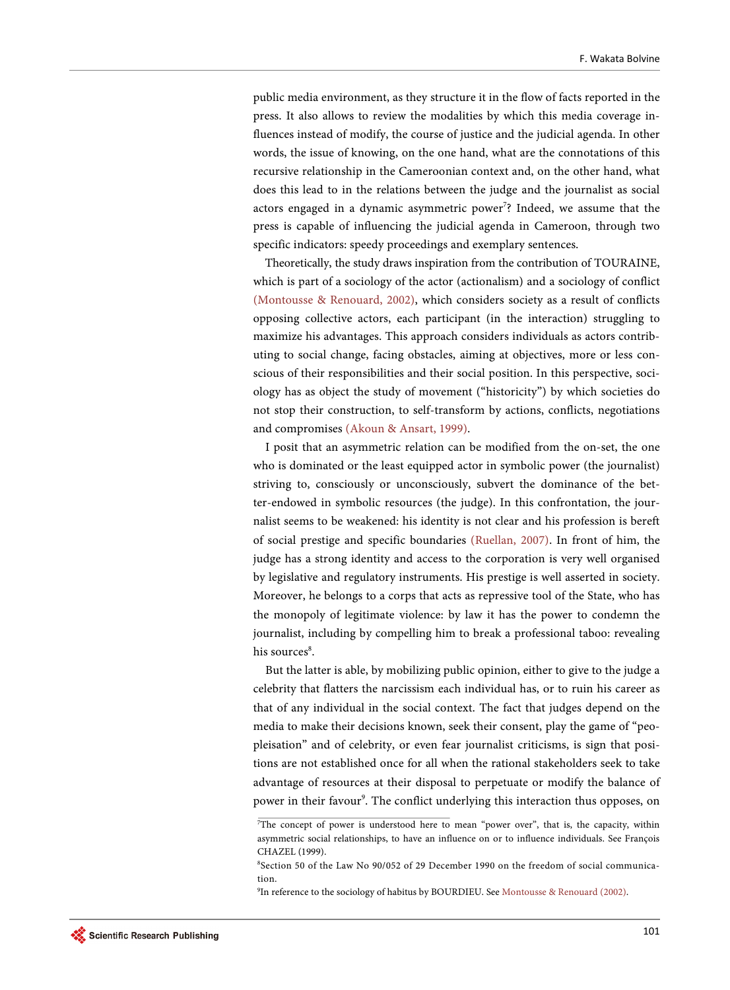public media environment, as they structure it in the flow of facts reported in the press. It also allows to review the modalities by which this media coverage influences instead of modify, the course of justice and the judicial agenda. In other words, the issue of knowing, on the one hand, what are the connotations of this recursive relationship in the Cameroonian context and, on the other hand, what does this lead to in the relations between the judge and the journalist as social actors engaged in a dynamic asymmetric power<sup>7</sup>? Indeed, we assume that the press is capable of influencing the judicial agenda in Cameroon, through two specific indicators: speedy proceedings and exemplary sentences.

Theoretically, the study draws inspiration from the contribution of TOURAINE, which is part of a sociology of the actor (actionalism) and a sociology of conflict (Montousse [& Renouard, 2002\),](#page-21-6) which considers society as a result of conflicts opposing collective actors, each participant (in the interaction) struggling to maximize his advantages. This approach considers individuals as actors contributing to social change, facing obstacles, aiming at objectives, more or less conscious of their responsibilities and their social position. In this perspective, sociology has as object the study of movement ("historicity") by which societies do not stop their construction, to self-transform by actions, conflicts, negotiations and compromises (Akoun [& Ansart, 1999\).](#page-20-5)

I posit that an asymmetric relation can be modified from the on-set, the one who is dominated or the least equipped actor in symbolic power (the journalist) striving to, consciously or unconsciously, subvert the dominance of the better-endowed in symbolic resources (the judge). In this confrontation, the journalist seems to be weakened: his identity is not clear and his profession is bereft of social prestige and specific boundaries [\(Ruellan, 2007\).](#page-21-7) In front of him, the judge has a strong identity and access to the corporation is very well organised by legislative and regulatory instruments. His prestige is well asserted in society. Moreover, he belongs to a corps that acts as repressive tool of the State, who has the monopoly of legitimate violence: by law it has the power to condemn the journalist, including by compelling him to break a professional taboo: revealing his sources<sup>8</sup>.

But the latter is able, by mobilizing public opinion, either to give to the judge a celebrity that flatters the narcissism each individual has, or to ruin his career as that of any individual in the social context. The fact that judges depend on the media to make their decisions known, seek their consent, play the game of "peopleisation" and of celebrity, or even fear journalist criticisms, is sign that positions are not established once for all when the rational stakeholders seek to take advantage of resources at their disposal to perpetuate or modify the balance of power in their favour<sup>9</sup>. The conflict underlying this interaction thus opposes, on

<sup>7</sup> The concept of power is understood here to mean "power over", that is, the capacity, within asymmetric social relationships, to have an influence on or to influence individuals. See François CHAZEL (1999).

<sup>8</sup> Section 50 of the Law No 90/052 of 29 December 1990 on the freedom of social communication.

<sup>&</sup>lt;sup>9</sup>In reference to the sociology of habitus by BOURDIEU. See [Montousse & Renouard](#page-21-6) (2002).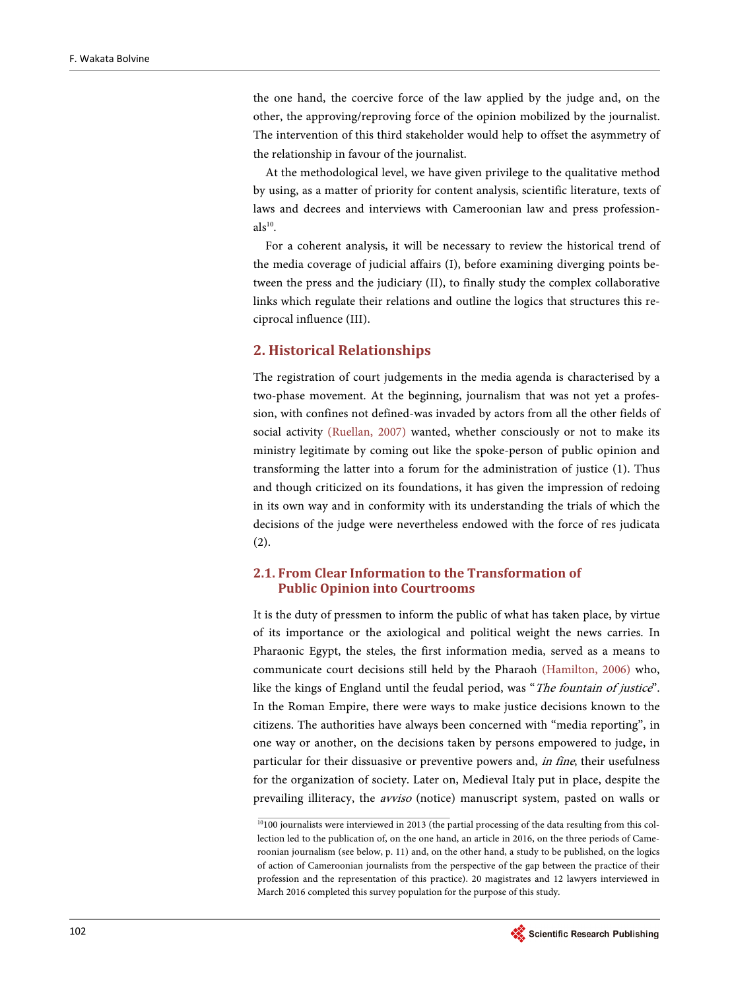the one hand, the coercive force of the law applied by the judge and, on the other, the approving/reproving force of the opinion mobilized by the journalist. The intervention of this third stakeholder would help to offset the asymmetry of the relationship in favour of the journalist.

At the methodological level, we have given privilege to the qualitative method by using, as a matter of priority for content analysis, scientific literature, texts of laws and decrees and interviews with Cameroonian law and press profession $als<sup>10</sup>$ .

For a coherent analysis, it will be necessary to review the historical trend of the media coverage of judicial affairs (I), before examining diverging points between the press and the judiciary (II), to finally study the complex collaborative links which regulate their relations and outline the logics that structures this reciprocal influence (III).

#### **2. Historical Relationships**

The registration of court judgements in the media agenda is characterised by a two-phase movement. At the beginning, journalism that was not yet a profession, with confines not defined-was invaded by actors from all the other fields of social activity [\(Ruellan, 2007\)](#page-21-7) wanted, whether consciously or not to make its ministry legitimate by coming out like the spoke-person of public opinion and transforming the latter into a forum for the administration of justice (1). Thus and though criticized on its foundations, it has given the impression of redoing in its own way and in conformity with its understanding the trials of which the decisions of the judge were nevertheless endowed with the force of res judicata (2).

## **2.1. From Clear Information to the Transformation of Public Opinion into Courtrooms**

It is the duty of pressmen to inform the public of what has taken place, by virtue of its importance or the axiological and political weight the news carries. In Pharaonic Egypt, the steles, the first information media, served as a means to communicate court decisions still held by the Pharaoh [\(Hamilton, 2006\)](#page-20-6) who, like the kings of England until the feudal period, was "The fountain of justice". In the Roman Empire, there were ways to make justice decisions known to the citizens. The authorities have always been concerned with "media reporting", in one way or another, on the decisions taken by persons empowered to judge, in particular for their dissuasive or preventive powers and, in fine, their usefulness for the organization of society. Later on, Medieval Italy put in place, despite the prevailing illiteracy, the avviso (notice) manuscript system, pasted on walls or

 $10100$  journalists were interviewed in 2013 (the partial processing of the data resulting from this collection led to the publication of, on the one hand, an article in 2016, on the three periods of Cameroonian journalism (see below, p. 11) and, on the other hand, a study to be published, on the logics of action of Cameroonian journalists from the perspective of the gap between the practice of their profession and the representation of this practice). 20 magistrates and 12 lawyers interviewed in March 2016 completed this survey population for the purpose of this study.

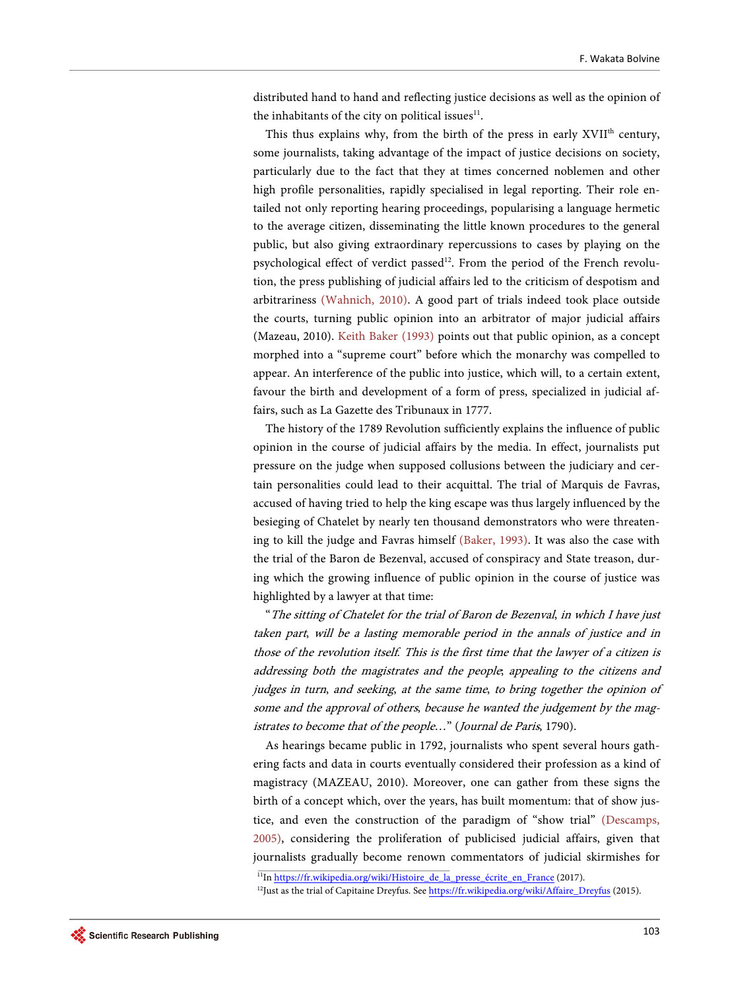distributed hand to hand and reflecting justice decisions as well as the opinion of the inhabitants of the city on political issues $11$ .

This thus explains why, from the birth of the press in early XVII<sup>th</sup> century, some journalists, taking advantage of the impact of justice decisions on society, particularly due to the fact that they at times concerned noblemen and other high profile personalities, rapidly specialised in legal reporting. Their role entailed not only reporting hearing proceedings, popularising a language hermetic to the average citizen, disseminating the little known procedures to the general public, but also giving extraordinary repercussions to cases by playing on the psychological effect of verdict passed<sup>12</sup>. From the period of the French revolution, the press publishing of judicial affairs led to the criticism of despotism and arbitrariness [\(Wahnich, 2010\).](#page-21-8) A good part of trials indeed took place outside the courts, turning public opinion into an arbitrator of major judicial affairs (Mazeau, 2010). [Keith Baker \(1993\)](#page-20-7) points out that public opinion, as a concept morphed into a "supreme court" before which the monarchy was compelled to appear. An interference of the public into justice, which will, to a certain extent, favour the birth and development of a form of press, specialized in judicial affairs, such as La Gazette des Tribunaux in 1777.

The history of the 1789 Revolution sufficiently explains the influence of public opinion in the course of judicial affairs by the media. In effect, journalists put pressure on the judge when supposed collusions between the judiciary and certain personalities could lead to their acquittal. The trial of Marquis de Favras, accused of having tried to help the king escape was thus largely influenced by the besieging of Chatelet by nearly ten thousand demonstrators who were threatening to kill the judge and Favras himself [\(Baker, 1993\).](#page-20-7) It was also the case with the trial of the Baron de Bezenval, accused of conspiracy and State treason, during which the growing influence of public opinion in the course of justice was highlighted by a lawyer at that time:

"The sitting of Chatelet for the trial of Baron de Bezenval, in which I have just taken part, will be a lasting memorable period in the annals of justice and in those of the revolution itself. This is the first time that the lawyer of a citizen is addressing both the magistrates and the people; appealing to the citizens and judges in turn, and seeking, at the same time, to bring together the opinion of some and the approval of others, because he wanted the judgement by the magistrates to become that of the people…" (Journal de Paris, 1790).

As hearings became public in 1792, journalists who spent several hours gathering facts and data in courts eventually considered their profession as a kind of magistracy (MAZEAU, 2010). Moreover, one can gather from these signs the birth of a concept which, over the years, has built momentum: that of show justice, and even the construction of the paradigm of "show trial" [\(Descamps,](#page-20-8) [2005\),](#page-20-8) considering the proliferation of publicised judicial affairs, given that journalists gradually become renown commentators of judicial skirmishes for

<sup>&</sup>lt;sup>11</sup>In [https://fr.wikipedia.org/wiki/Histoire\\_de\\_la\\_presse\\_écrite\\_en\\_France](https://fr.wikipedia.org/wiki/Histoire_de_la_presse_%C3%A9crite_en_France) (2017).

<sup>&</sup>lt;sup>12</sup>Just as the trial of Capitaine Dreyfus. Se[e https://fr.wikipedia.org/wiki/Affaire\\_Dreyfus](https://fr.wikipedia.org/wiki/Affaire_Dreyfus) (2015).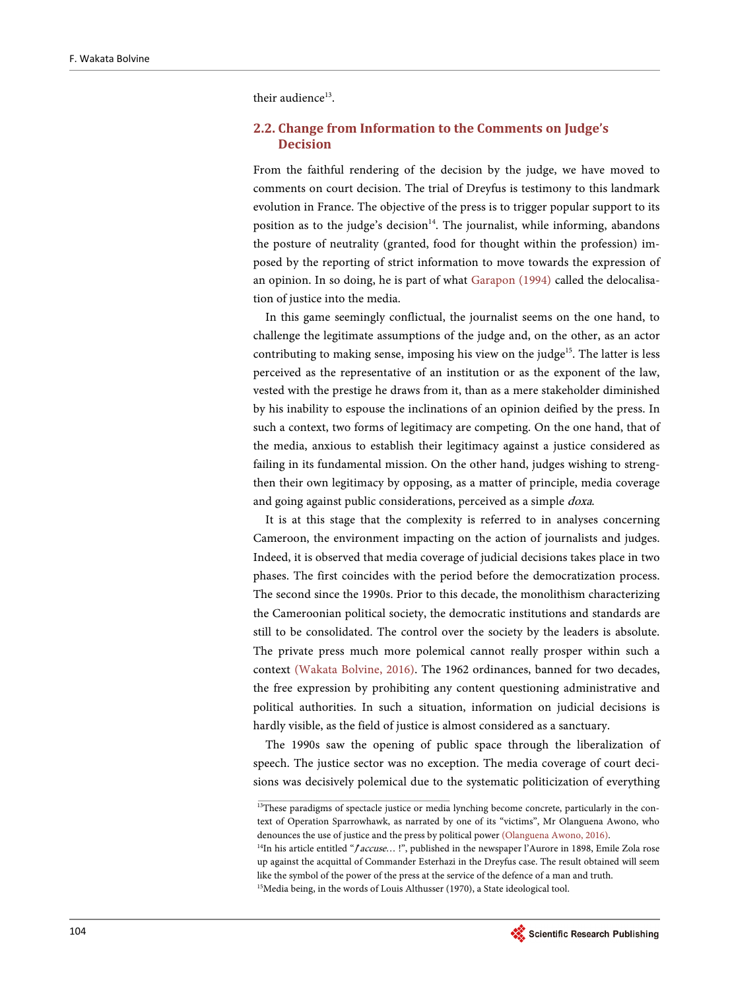their audience<sup>13</sup>.

### **2.2. Change from Information to the Comments on Judge's Decision**

From the faithful rendering of the decision by the judge, we have moved to comments on court decision. The trial of Dreyfus is testimony to this landmark evolution in France. The objective of the press is to trigger popular support to its position as to the judge's decision $14$ . The journalist, while informing, abandons the posture of neutrality (granted, food for thought within the profession) imposed by the reporting of strict information to move towards the expression of an opinion. In so doing, he is part of what [Garapon \(1994\)](#page-20-9) called the delocalisation of justice into the media.

In this game seemingly conflictual, the journalist seems on the one hand, to challenge the legitimate assumptions of the judge and, on the other, as an actor contributing to making sense, imposing his view on the judge<sup>15</sup>. The latter is less perceived as the representative of an institution or as the exponent of the law, vested with the prestige he draws from it, than as a mere stakeholder diminished by his inability to espouse the inclinations of an opinion deified by the press. In such a context, two forms of legitimacy are competing. On the one hand, that of the media, anxious to establish their legitimacy against a justice considered as failing in its fundamental mission. On the other hand, judges wishing to strengthen their own legitimacy by opposing, as a matter of principle, media coverage and going against public considerations, perceived as a simple doxa.

It is at this stage that the complexity is referred to in analyses concerning Cameroon, the environment impacting on the action of journalists and judges. Indeed, it is observed that media coverage of judicial decisions takes place in two phases. The first coincides with the period before the democratization process. The second since the 1990s. Prior to this decade, the monolithism characterizing the Cameroonian political society, the democratic institutions and standards are still to be consolidated. The control over the society by the leaders is absolute. The private press much more polemical cannot really prosper within such a context [\(Wakata Bolvine, 2016\).](#page-21-9) The 1962 ordinances, banned for two decades, the free expression by prohibiting any content questioning administrative and political authorities. In such a situation, information on judicial decisions is hardly visible, as the field of justice is almost considered as a sanctuary.

The 1990s saw the opening of public space through the liberalization of speech. The justice sector was no exception. The media coverage of court decisions was decisively polemical due to the systematic politicization of everything

<sup>&</sup>lt;sup>15</sup>Media being, in the words of Louis Althusser (1970), a State ideological tool.



<sup>&</sup>lt;sup>13</sup>These paradigms of spectacle justice or media lynching become concrete, particularly in the context of Operation Sparrowhawk, as narrated by one of its "victims", Mr Olanguena Awono, who denounces the use of justice and the press by political power [\(Olanguena Awono, 2016\).](#page-21-10) <sup>14</sup>In his article entitled "*J* accuse...!", published in the newspaper l'Aurore in 1898, Emile Zola rose up against the acquittal of Commander Esterhazi in the Dreyfus case. The result obtained will seem like the symbol of the power of the press at the service of the defence of a man and truth.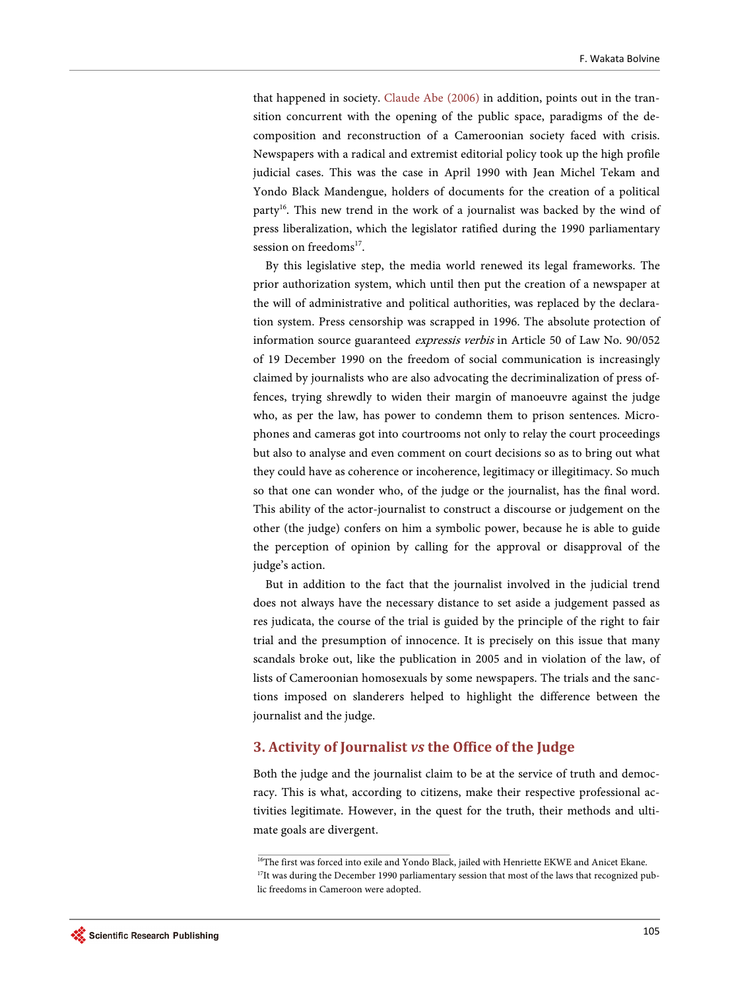that happened in society. [Claude Abe \(2006\)](#page-20-10) in addition, points out in the transition concurrent with the opening of the public space, paradigms of the decomposition and reconstruction of a Cameroonian society faced with crisis. Newspapers with a radical and extremist editorial policy took up the high profile judicial cases. This was the case in April 1990 with Jean Michel Tekam and Yondo Black Mandengue, holders of documents for the creation of a political party<sup>16</sup>. This new trend in the work of a journalist was backed by the wind of press liberalization, which the legislator ratified during the 1990 parliamentary session on freedoms $^{17}$ .

By this legislative step, the media world renewed its legal frameworks. The prior authorization system, which until then put the creation of a newspaper at the will of administrative and political authorities, was replaced by the declaration system. Press censorship was scrapped in 1996. The absolute protection of information source guaranteed expressis verbis in Article 50 of Law No. 90/052 of 19 December 1990 on the freedom of social communication is increasingly claimed by journalists who are also advocating the decriminalization of press offences, trying shrewdly to widen their margin of manoeuvre against the judge who, as per the law, has power to condemn them to prison sentences. Microphones and cameras got into courtrooms not only to relay the court proceedings but also to analyse and even comment on court decisions so as to bring out what they could have as coherence or incoherence, legitimacy or illegitimacy. So much so that one can wonder who, of the judge or the journalist, has the final word. This ability of the actor-journalist to construct a discourse or judgement on the other (the judge) confers on him a symbolic power, because he is able to guide the perception of opinion by calling for the approval or disapproval of the judge's action.

But in addition to the fact that the journalist involved in the judicial trend does not always have the necessary distance to set aside a judgement passed as res judicata, the course of the trial is guided by the principle of the right to fair trial and the presumption of innocence. It is precisely on this issue that many scandals broke out, like the publication in 2005 and in violation of the law, of lists of Cameroonian homosexuals by some newspapers. The trials and the sanctions imposed on slanderers helped to highlight the difference between the journalist and the judge.

# **3. Activity of Journalist** *vs* **the Office of the Judge**

Both the judge and the journalist claim to be at the service of truth and democracy. This is what, according to citizens, make their respective professional activities legitimate. However, in the quest for the truth, their methods and ultimate goals are divergent.

<sup>&</sup>lt;sup>16</sup>The first was forced into exile and Yondo Black, jailed with Henriette EKWE and Anicet Ekane. <sup>17</sup>It was during the December 1990 parliamentary session that most of the laws that recognized public freedoms in Cameroon were adopted.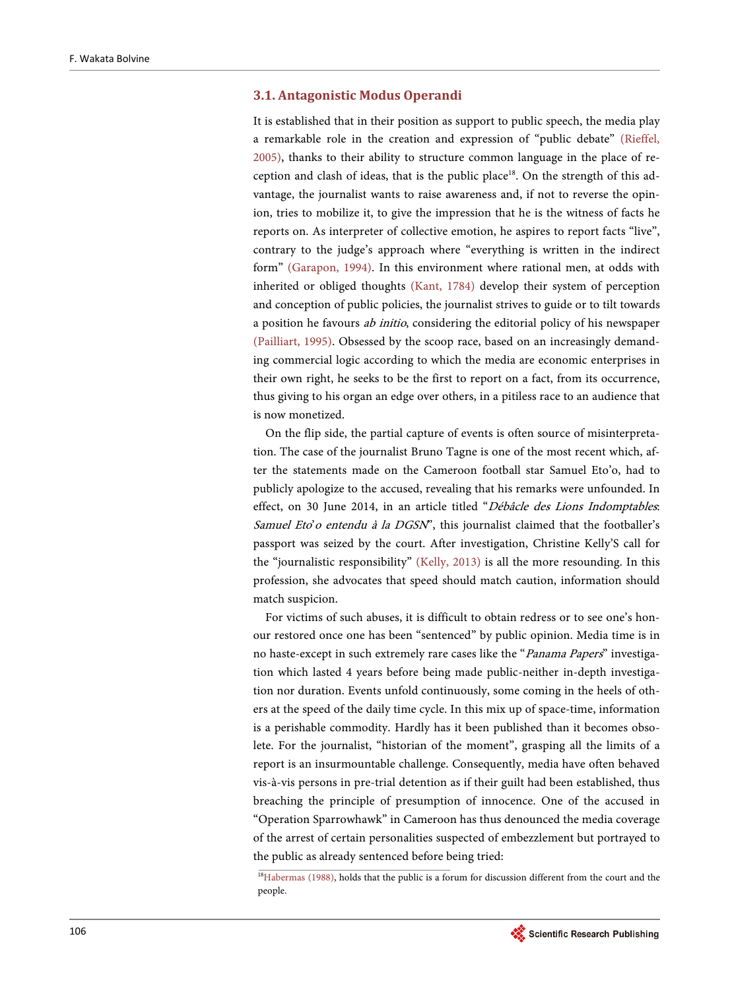#### **3.1. Antagonistic Modus Operandi**

It is established that in their position as support to public speech, the media play a remarkable role in the creation and expression of "public debate" [\(Rieffel,](#page-21-0)  [2005\),](#page-21-0) thanks to their ability to structure common language in the place of reception and clash of ideas, that is the public place<sup>18</sup>. On the strength of this advantage, the journalist wants to raise awareness and, if not to reverse the opinion, tries to mobilize it, to give the impression that he is the witness of facts he reports on. As interpreter of collective emotion, he aspires to report facts "live", contrary to the judge's approach where "everything is written in the indirect form" [\(Garapon, 1994\).](#page-20-9) In this environment where rational men, at odds with inherited or obliged thoughts [\(Kant, 1784\)](#page-20-11) develop their system of perception and conception of public policies, the journalist strives to guide or to tilt towards a position he favours ab initio, considering the editorial policy of his newspaper [\(Pailliart, 1995\).](#page-21-11) Obsessed by the scoop race, based on an increasingly demanding commercial logic according to which the media are economic enterprises in their own right, he seeks to be the first to report on a fact, from its occurrence, thus giving to his organ an edge over others, in a pitiless race to an audience that is now monetized.

On the flip side, the partial capture of events is often source of misinterpretation. The case of the journalist Bruno Tagne is one of the most recent which, after the statements made on the Cameroon football star Samuel Eto'o, had to publicly apologize to the accused, revealing that his remarks were unfounded. In effect, on 30 June 2014, in an article titled "Débâcle des Lions Indomptables. Samuel Eto'o entendu à la DGSN", this journalist claimed that the footballer's passport was seized by the court. After investigation, Christine Kelly'S call for the "journalistic responsibility" [\(Kelly, 2013\)](#page-20-12) is all the more resounding. In this profession, she advocates that speed should match caution, information should match suspicion.

For victims of such abuses, it is difficult to obtain redress or to see one's honour restored once one has been "sentenced" by public opinion. Media time is in no haste-except in such extremely rare cases like the "Panama Papers" investigation which lasted 4 years before being made public-neither in-depth investigation nor duration. Events unfold continuously, some coming in the heels of others at the speed of the daily time cycle. In this mix up of space-time, information is a perishable commodity. Hardly has it been published than it becomes obsolete. For the journalist, "historian of the moment", grasping all the limits of a report is an insurmountable challenge. Consequently, media have often behaved vis-à-vis persons in pre-trial detention as if their guilt had been established, thus breaching the principle of presumption of innocence. One of the accused in "Operation Sparrowhawk" in Cameroon has thus denounced the media coverage of the arrest of certain personalities suspected of embezzlement but portrayed to the public as already sentenced before being tried:

<sup>&</sup>lt;sup>18</sup>Habermas (1988), holds that the public is a forum for discussion different from the court and the people.

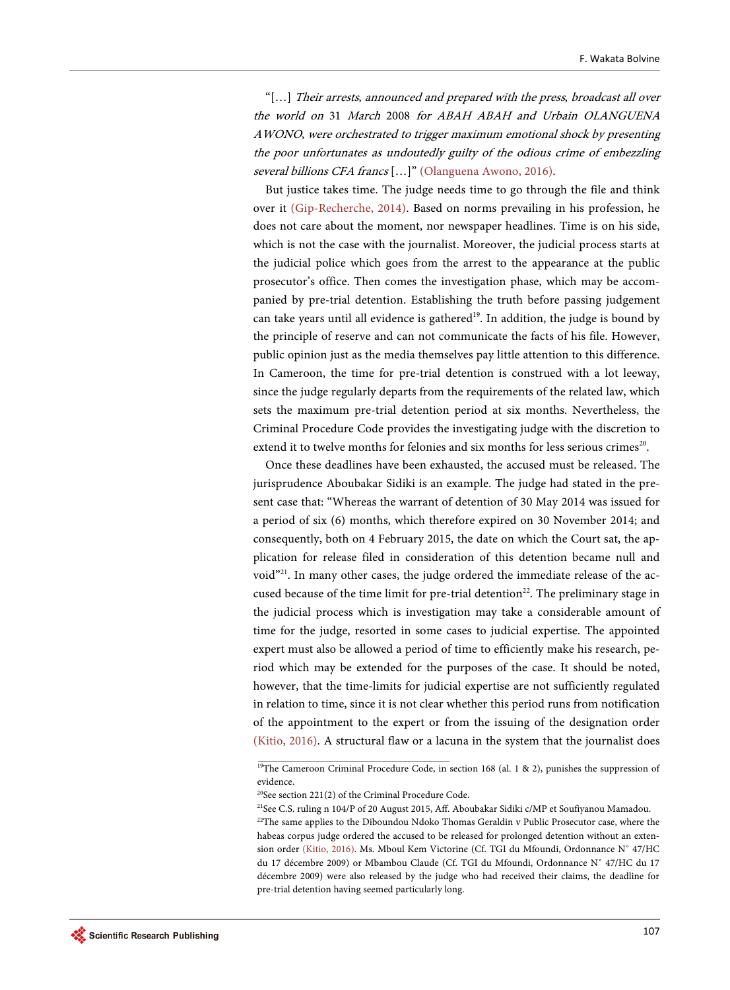"[…] Their arrests, announced and prepared with the press, broadcast all over the world on 31 March 2008 for ABAH ABAH and Urbain OLANGUENA AWONO, were orchestrated to trigger maximum emotional shock by presenting the poor unfortunates as undoutedly guilty of the odious crime of embezzling several billions CFA francs [...]" [\(Olanguena Awono, 2016\).](#page-21-10)

But justice takes time. The judge needs time to go through the file and think over it [\(Gip-Recherche, 2014\).](#page-20-14) Based on norms prevailing in his profession, he does not care about the moment, nor newspaper headlines. Time is on his side, which is not the case with the journalist. Moreover, the judicial process starts at the judicial police which goes from the arrest to the appearance at the public prosecutor's office. Then comes the investigation phase, which may be accompanied by pre-trial detention. Establishing the truth before passing judgement can take years until all evidence is gathered<sup>19</sup>. In addition, the judge is bound by the principle of reserve and can not communicate the facts of his file. However, public opinion just as the media themselves pay little attention to this difference. In Cameroon, the time for pre-trial detention is construed with a lot leeway, since the judge regularly departs from the requirements of the related law, which sets the maximum pre-trial detention period at six months. Nevertheless, the Criminal Procedure Code provides the investigating judge with the discretion to extend it to twelve months for felonies and six months for less serious crimes<sup>20</sup>.

Once these deadlines have been exhausted, the accused must be released. The jurisprudence Aboubakar Sidiki is an example. The judge had stated in the present case that: "Whereas the warrant of detention of 30 May 2014 was issued for a period of six (6) months, which therefore expired on 30 November 2014; and consequently, both on 4 February 2015, the date on which the Court sat, the application for release filed in consideration of this detention became null and void"<sup>21</sup>. In many other cases, the judge ordered the immediate release of the accused because of the time limit for pre-trial detention<sup>22</sup>. The preliminary stage in the judicial process which is investigation may take a considerable amount of time for the judge, resorted in some cases to judicial expertise. The appointed expert must also be allowed a period of time to efficiently make his research, period which may be extended for the purposes of the case. It should be noted, however, that the time-limits for judicial expertise are not sufficiently regulated in relation to time, since it is not clear whether this period runs from notification of the appointment to the expert or from the issuing of the designation order [\(Kitio, 2016\).](#page-21-12) A structural flaw or a lacuna in the system that the journalist does

<sup>&</sup>lt;sup>19</sup>The Cameroon Criminal Procedure Code, in section 168 (al. 1 & 2), punishes the suppression of evidence.

<sup>20</sup>See section 221(2) of the Criminal Procedure Code.

<sup>&</sup>lt;sup>21</sup>See C.S. ruling n 104/P of 20 August 2015, Aff. Aboubakar Sidiki c/MP et Soufiyanou Mamadou.

<sup>&</sup>lt;sup>22</sup>The same applies to the Diboundou Ndoko Thomas Geraldin v Public Prosecutor case, where the habeas corpus judge ordered the accused to be released for prolonged detention without an extension order [\(Kitio, 2016\).](#page-21-12) Ms. Mboul Kem Victorine (Cf. TGI du Mfoundi, Ordonnance N˚ 47/HC du 17 décembre 2009) or Mbambou Claude (Cf. TGI du Mfoundi, Ordonnance N˚ 47/HC du 17 décembre 2009) were also released by the judge who had received their claims, the deadline for pre-trial detention having seemed particularly long.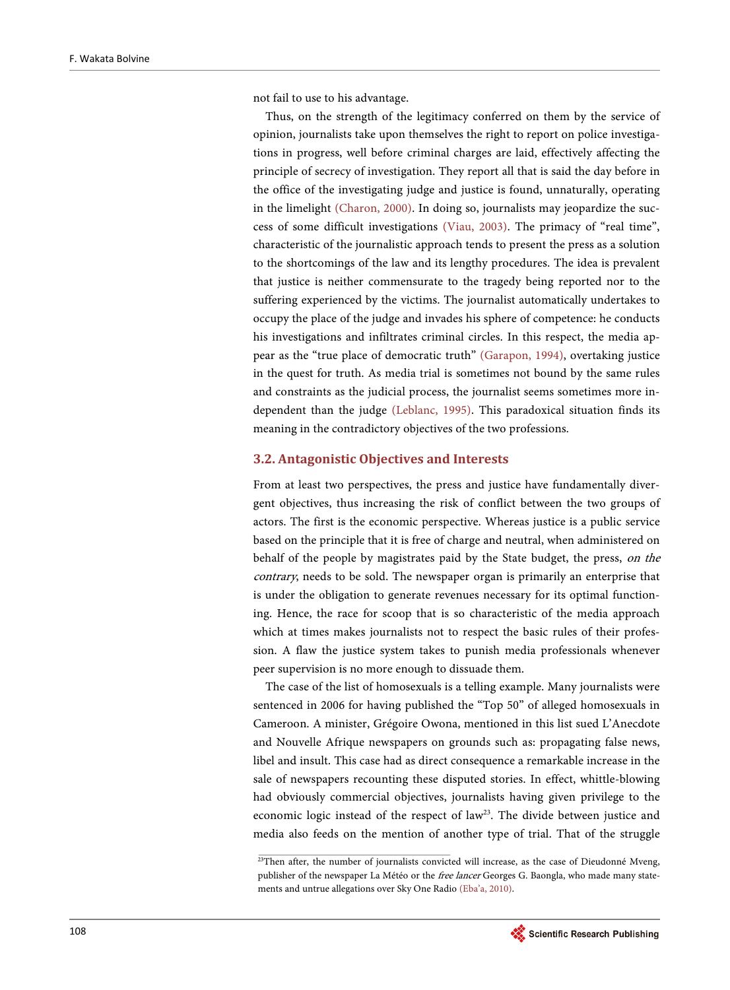not fail to use to his advantage.

Thus, on the strength of the legitimacy conferred on them by the service of opinion, journalists take upon themselves the right to report on police investigations in progress, well before criminal charges are laid, effectively affecting the principle of secrecy of investigation. They report all that is said the day before in the office of the investigating judge and justice is found, unnaturally, operating in the limelight [\(Charon, 2000\).](#page-20-15) In doing so, journalists may jeopardize the success of some difficult investigations [\(Viau, 2003\).](#page-21-13) The primacy of "real time", characteristic of the journalistic approach tends to present the press as a solution to the shortcomings of the law and its lengthy procedures. The idea is prevalent that justice is neither commensurate to the tragedy being reported nor to the suffering experienced by the victims. The journalist automatically undertakes to occupy the place of the judge and invades his sphere of competence: he conducts his investigations and infiltrates criminal circles. In this respect, the media appear as the "true place of democratic truth" [\(Garapon, 1994\),](#page-20-9) overtaking justice in the quest for truth. As media trial is sometimes not bound by the same rules and constraints as the judicial process, the journalist seems sometimes more independent than the judge [\(Leblanc, 1995\).](#page-21-14) This paradoxical situation finds its meaning in the contradictory objectives of the two professions.

#### **3.2. Antagonistic Objectives and Interests**

From at least two perspectives, the press and justice have fundamentally divergent objectives, thus increasing the risk of conflict between the two groups of actors. The first is the economic perspective. Whereas justice is a public service based on the principle that it is free of charge and neutral, when administered on behalf of the people by magistrates paid by the State budget, the press, on the contrary, needs to be sold. The newspaper organ is primarily an enterprise that is under the obligation to generate revenues necessary for its optimal functioning. Hence, the race for scoop that is so characteristic of the media approach which at times makes journalists not to respect the basic rules of their profession. A flaw the justice system takes to punish media professionals whenever peer supervision is no more enough to dissuade them.

The case of the list of homosexuals is a telling example. Many journalists were sentenced in 2006 for having published the "Top 50" of alleged homosexuals in Cameroon. A minister, Grégoire Owona, mentioned in this list sued L'Anecdote and Nouvelle Afrique newspapers on grounds such as: propagating false news, libel and insult. This case had as direct consequence a remarkable increase in the sale of newspapers recounting these disputed stories. In effect, whittle-blowing had obviously commercial objectives, journalists having given privilege to the economic logic instead of the respect of law<sup>23</sup>. The divide between justice and media also feeds on the mention of another type of trial. That of the struggle

<sup>&</sup>lt;sup>23</sup>Then after, the number of journalists convicted will increase, as the case of Dieudonné Mveng, publisher of the newspaper La Météo or the *free lancer* Georges G. Baongla, who made many statements and untrue allegations over Sky One Radio [\(Eba'a, 2010\).](#page-20-3) 

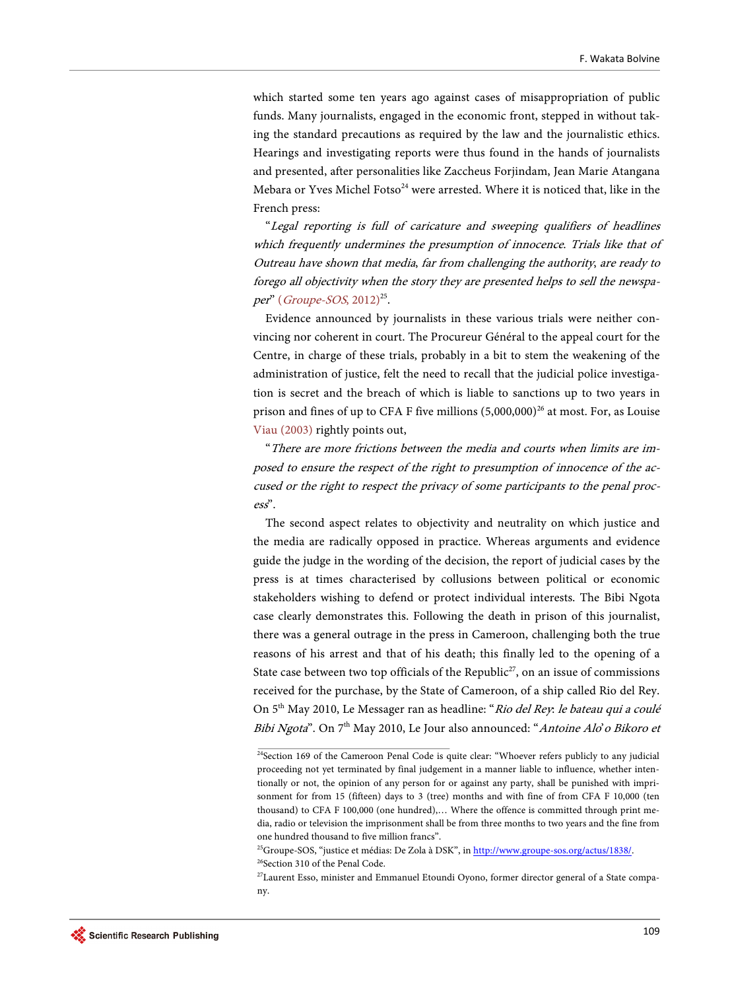which started some ten years ago against cases of misappropriation of public funds. Many journalists, engaged in the economic front, stepped in without taking the standard precautions as required by the law and the journalistic ethics. Hearings and investigating reports were thus found in the hands of journalists and presented, after personalities like Zaccheus Forjindam, Jean Marie Atangana Mebara or Yves Michel Fotso<sup>24</sup> were arrested. Where it is noticed that, like in the French press:

"Legal reporting is full of caricature and sweeping qualifiers of headlines which frequently undermines the presumption of innocence. Trials like that of Outreau have shown that media, far from challenging the authority, are ready to forego all objectivity when the story they are presented helps to sell the newspa-per" ([Groupe-SOS](#page-20-16), 2012)<sup>25</sup>.

Evidence announced by journalists in these various trials were neither convincing nor coherent in court. The Procureur Général to the appeal court for the Centre, in charge of these trials, probably in a bit to stem the weakening of the administration of justice, felt the need to recall that the judicial police investigation is secret and the breach of which is liable to sanctions up to two years in prison and fines of up to CFA F five millions  $(5,000,000)^{26}$  at most. For, as Louise [Viau \(2003\)](#page-21-13) rightly points out,

"There are more frictions between the media and courts when limits are imposed to ensure the respect of the right to presumption of innocence of the accused or the right to respect the privacy of some participants to the penal process".

The second aspect relates to objectivity and neutrality on which justice and the media are radically opposed in practice. Whereas arguments and evidence guide the judge in the wording of the decision, the report of judicial cases by the press is at times characterised by collusions between political or economic stakeholders wishing to defend or protect individual interests. The Bibi Ngota case clearly demonstrates this. Following the death in prison of this journalist, there was a general outrage in the press in Cameroon, challenging both the true reasons of his arrest and that of his death; this finally led to the opening of a State case between two top officials of the Republic<sup>27</sup>, on an issue of commissions received for the purchase, by the State of Cameroon, of a ship called Rio del Rey. On 5<sup>th</sup> May 2010, Le Messager ran as headline: "Rio del Rey: le bateau qui a coulé Bibi Ngota". On 7<sup>th</sup> May 2010, Le Jour also announced: "Antoine Alo' o Bikoro et

<sup>&</sup>lt;sup>24</sup>Section 169 of the Cameroon Penal Code is quite clear: "Whoever refers publicly to any judicial proceeding not yet terminated by final judgement in a manner liable to influence, whether intentionally or not, the opinion of any person for or against any party, shall be punished with imprisonment for from 15 (fifteen) days to 3 (tree) months and with fine of from CFA F 10,000 (ten thousand) to CFA F 100,000 (one hundred),… Where the offence is committed through print media, radio or television the imprisonment shall be from three months to two years and the fine from one hundred thousand to five million francs".

<sup>&</sup>lt;sup>25</sup>Groupe-SOS, "justice et médias: De Zola à DSK", i[n http://www.groupe-sos.org/actus/1838/.](http://www.groupe-sos.org/actus/1838/) <sup>26</sup>Section 310 of the Penal Code.

<sup>&</sup>lt;sup>27</sup>Laurent Esso, minister and Emmanuel Etoundi Oyono, former director general of a State company.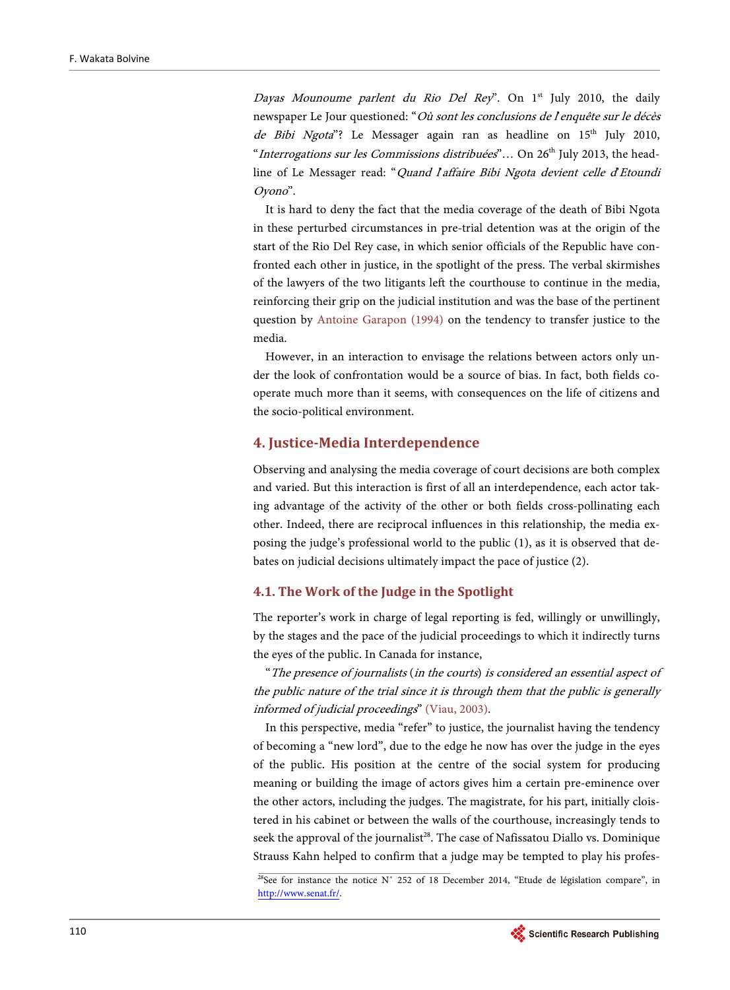Dayas Mounoume parlent du Rio Del Rey". On  $1<sup>st</sup>$  July 2010, the daily newspaper Le Jour questioned: "Où sont les conclusions de l'enquête sur le décès de Bibi Ngota"? Le Messager again ran as headline on  $15<sup>th</sup>$  July 2010, "Interrogations sur les Commissions distribuées"... On 26<sup>th</sup> July 2013, the headline of Le Messager read: "Quand l'affaire Bibi Ngota devient celle d'Etoundi Oyono".

It is hard to deny the fact that the media coverage of the death of Bibi Ngota in these perturbed circumstances in pre-trial detention was at the origin of the start of the Rio Del Rey case, in which senior officials of the Republic have confronted each other in justice, in the spotlight of the press. The verbal skirmishes of the lawyers of the two litigants left the courthouse to continue in the media, reinforcing their grip on the judicial institution and was the base of the pertinent question by [Antoine Garapon \(1994\)](#page-20-9) on the tendency to transfer justice to the media.

However, in an interaction to envisage the relations between actors only under the look of confrontation would be a source of bias. In fact, both fields cooperate much more than it seems, with consequences on the life of citizens and the socio-political environment.

#### **4. Justice-Media Interdependence**

Observing and analysing the media coverage of court decisions are both complex and varied. But this interaction is first of all an interdependence, each actor taking advantage of the activity of the other or both fields cross-pollinating each other. Indeed, there are reciprocal influences in this relationship, the media exposing the judge's professional world to the public (1), as it is observed that debates on judicial decisions ultimately impact the pace of justice (2).

#### **4.1. The Work of the Judge in the Spotlight**

The reporter's work in charge of legal reporting is fed, willingly or unwillingly, by the stages and the pace of the judicial proceedings to which it indirectly turns the eyes of the public. In Canada for instance,

"The presence of journalists (in the courts) is considered an essential aspect of the public nature of the trial since it is through them that the public is generally informed of judicial proceedings" [\(Viau, 2003\).](#page-21-13)

In this perspective, media "refer" to justice, the journalist having the tendency of becoming a "new lord", due to the edge he now has over the judge in the eyes of the public. His position at the centre of the social system for producing meaning or building the image of actors gives him a certain pre-eminence over the other actors, including the judges. The magistrate, for his part, initially cloistered in his cabinet or between the walls of the courthouse, increasingly tends to seek the approval of the journalist<sup>28</sup>. The case of Nafissatou Diallo vs. Dominique Strauss Kahn helped to confirm that a judge may be tempted to play his profes-

<sup>&</sup>lt;sup>28</sup>See for instance the notice N° 252 of 18 December 2014, "Etude de législation compare", in [http://www.senat.fr/.](http://www.senat.fr/) 

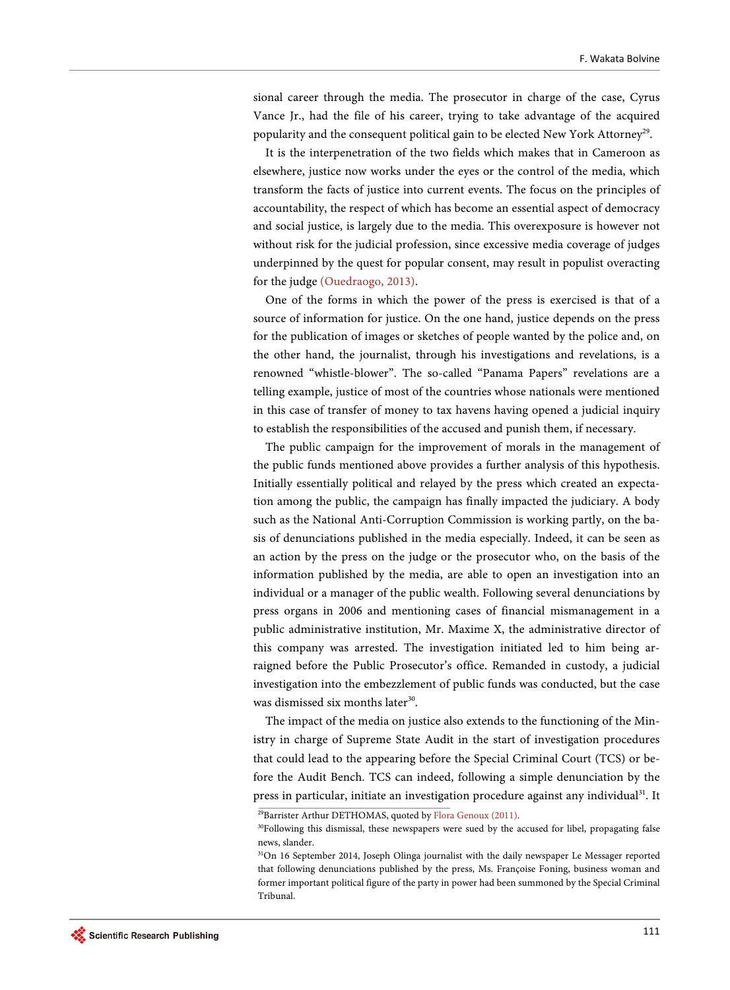sional career through the media. The prosecutor in charge of the case, Cyrus Vance Jr., had the file of his career, trying to take advantage of the acquired popularity and the consequent political gain to be elected New York Attorney<sup>29</sup>.

It is the interpenetration of the two fields which makes that in Cameroon as elsewhere, justice now works under the eyes or the control of the media, which transform the facts of justice into current events. The focus on the principles of accountability, the respect of which has become an essential aspect of democracy and social justice, is largely due to the media. This overexposure is however not without risk for the judicial profession, since excessive media coverage of judges underpinned by the quest for popular consent, may result in populist overacting for the judge [\(Ouedraogo, 2013\).](#page-21-15)

One of the forms in which the power of the press is exercised is that of a source of information for justice. On the one hand, justice depends on the press for the publication of images or sketches of people wanted by the police and, on the other hand, the journalist, through his investigations and revelations, is a renowned "whistle-blower". The so-called "Panama Papers" revelations are a telling example, justice of most of the countries whose nationals were mentioned in this case of transfer of money to tax havens having opened a judicial inquiry to establish the responsibilities of the accused and punish them, if necessary.

The public campaign for the improvement of morals in the management of the public funds mentioned above provides a further analysis of this hypothesis. Initially essentially political and relayed by the press which created an expectation among the public, the campaign has finally impacted the judiciary. A body such as the National Anti-Corruption Commission is working partly, on the basis of denunciations published in the media especially. Indeed, it can be seen as an action by the press on the judge or the prosecutor who, on the basis of the information published by the media, are able to open an investigation into an individual or a manager of the public wealth. Following several denunciations by press organs in 2006 and mentioning cases of financial mismanagement in a public administrative institution, Mr. Maxime X, the administrative director of this company was arrested. The investigation initiated led to him being arraigned before the Public Prosecutor's office. Remanded in custody, a judicial investigation into the embezzlement of public funds was conducted, but the case was dismissed six months later<sup>30</sup>.

The impact of the media on justice also extends to the functioning of the Ministry in charge of Supreme State Audit in the start of investigation procedures that could lead to the appearing before the Special Criminal Court (TCS) or before the Audit Bench. TCS can indeed, following a simple denunciation by the press in particular, initiate an investigation procedure against any individual<sup>31</sup>. It

<sup>29</sup>Barrister Arthur DETHOMAS, quoted by [Flora Genoux \(2011\).](#page-20-17)

<sup>&</sup>lt;sup>30</sup>Following this dismissal, these newspapers were sued by the accused for libel, propagating false news, slander.

<sup>&</sup>lt;sup>31</sup>On 16 September 2014, Joseph Olinga journalist with the daily newspaper Le Messager reported that following denunciations published by the press, Ms. Françoise Foning, business woman and former important political figure of the party in power had been summoned by the Special Criminal Tribunal.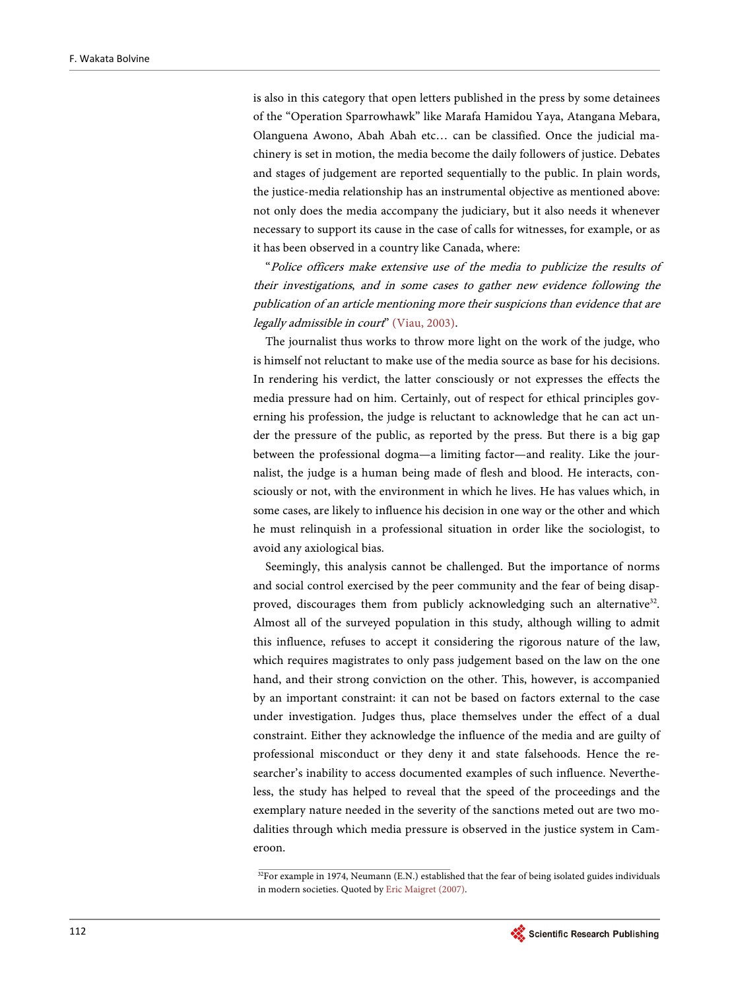is also in this category that open letters published in the press by some detainees of the "Operation Sparrowhawk" like Marafa Hamidou Yaya, Atangana Mebara, Olanguena Awono, Abah Abah etc… can be classified. Once the judicial machinery is set in motion, the media become the daily followers of justice. Debates and stages of judgement are reported sequentially to the public. In plain words, the justice-media relationship has an instrumental objective as mentioned above: not only does the media accompany the judiciary, but it also needs it whenever necessary to support its cause in the case of calls for witnesses, for example, or as it has been observed in a country like Canada, where:

"Police officers make extensive use of the media to publicize the results of their investigations, and in some cases to gather new evidence following the publication of an article mentioning more their suspicions than evidence that are legally admissible in court" [\(Viau, 2003\).](#page-21-13)

The journalist thus works to throw more light on the work of the judge, who is himself not reluctant to make use of the media source as base for his decisions. In rendering his verdict, the latter consciously or not expresses the effects the media pressure had on him. Certainly, out of respect for ethical principles governing his profession, the judge is reluctant to acknowledge that he can act under the pressure of the public, as reported by the press. But there is a big gap between the professional dogma—a limiting factor—and reality. Like the journalist, the judge is a human being made of flesh and blood. He interacts, consciously or not, with the environment in which he lives. He has values which, in some cases, are likely to influence his decision in one way or the other and which he must relinquish in a professional situation in order like the sociologist, to avoid any axiological bias.

Seemingly, this analysis cannot be challenged. But the importance of norms and social control exercised by the peer community and the fear of being disapproved, discourages them from publicly acknowledging such an alternative<sup>32</sup>. Almost all of the surveyed population in this study, although willing to admit this influence, refuses to accept it considering the rigorous nature of the law, which requires magistrates to only pass judgement based on the law on the one hand, and their strong conviction on the other. This, however, is accompanied by an important constraint: it can not be based on factors external to the case under investigation. Judges thus, place themselves under the effect of a dual constraint. Either they acknowledge the influence of the media and are guilty of professional misconduct or they deny it and state falsehoods. Hence the researcher's inability to access documented examples of such influence. Nevertheless, the study has helped to reveal that the speed of the proceedings and the exemplary nature needed in the severity of the sanctions meted out are two modalities through which media pressure is observed in the justice system in Cameroon.

<sup>&</sup>lt;sup>32</sup>For example in 1974, Neumann (E.N.) established that the fear of being isolated guides individuals in modern societies. Quoted by [Eric Maigret \(2007\).](#page-21-16)

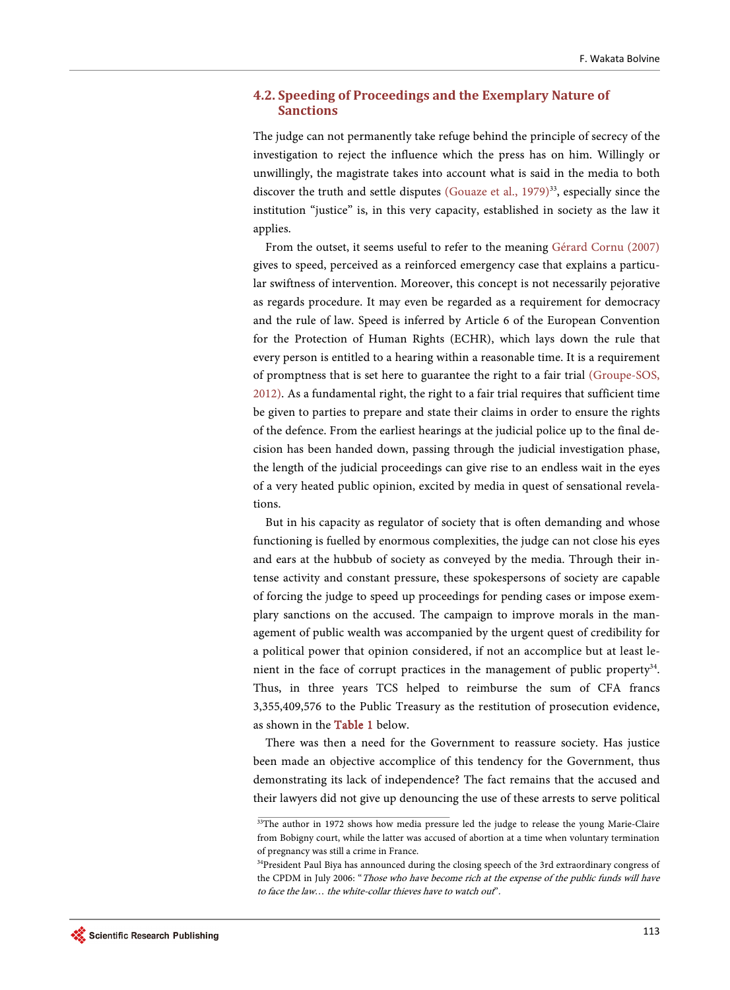### **4.2. Speeding of Proceedings and the Exemplary Nature of Sanctions**

The judge can not permanently take refuge behind the principle of secrecy of the investigation to reject the influence which the press has on him. Willingly or unwillingly, the magistrate takes into account what is said in the media to both discover the truth and settle disputes (Gouaze et al.,  $1979)^{33}$ , especially since the institution "justice" is, in this very capacity, established in society as the law it applies.

From the outset, it seems useful to refer to the meaning [Gérard Cornu \(2007\)](#page-20-19) gives to speed, perceived as a reinforced emergency case that explains a particular swiftness of intervention. Moreover, this concept is not necessarily pejorative as regards procedure. It may even be regarded as a requirement for democracy and the rule of law. Speed is inferred by Article 6 of the European Convention for the Protection of Human Rights (ECHR), which lays down the rule that every person is entitled to a hearing within a reasonable time. It is a requirement of promptness that is set here to guarantee the right to a fair trial [\(Groupe-SOS,](#page-20-16)  [2012\).](#page-20-16) As a fundamental right, the right to a fair trial requires that sufficient time be given to parties to prepare and state their claims in order to ensure the rights of the defence. From the earliest hearings at the judicial police up to the final decision has been handed down, passing through the judicial investigation phase, the length of the judicial proceedings can give rise to an endless wait in the eyes of a very heated public opinion, excited by media in quest of sensational revelations.

But in his capacity as regulator of society that is often demanding and whose functioning is fuelled by enormous complexities, the judge can not close his eyes and ears at the hubbub of society as conveyed by the media. Through their intense activity and constant pressure, these spokespersons of society are capable of forcing the judge to speed up proceedings for pending cases or impose exemplary sanctions on the accused. The campaign to improve morals in the management of public wealth was accompanied by the urgent quest of credibility for a political power that opinion considered, if not an accomplice but at least lenient in the face of corrupt practices in the management of public property $34$ . Thus, in three years TCS helped to reimburse the sum of CFA francs 3,355,409,576 to the Public Treasury as the restitution of prosecution evidence, as shown in th[e Table 1](#page-16-0) below.

There was then a need for the Government to reassure society. Has justice been made an objective accomplice of this tendency for the Government, thus demonstrating its lack of independence? The fact remains that the accused and their lawyers did not give up denouncing the use of these arrests to serve political

<sup>&</sup>lt;sup>33</sup>The author in 1972 shows how media pressure led the judge to release the young Marie-Claire from Bobigny court, while the latter was accused of abortion at a time when voluntary termination of pregnancy was still a crime in France.

<sup>&</sup>lt;sup>34</sup>President Paul Biya has announced during the closing speech of the 3rd extraordinary congress of the CPDM in July 2006: "Those who have become rich at the expense of the public funds will have to face the law… the white-collar thieves have to watch out".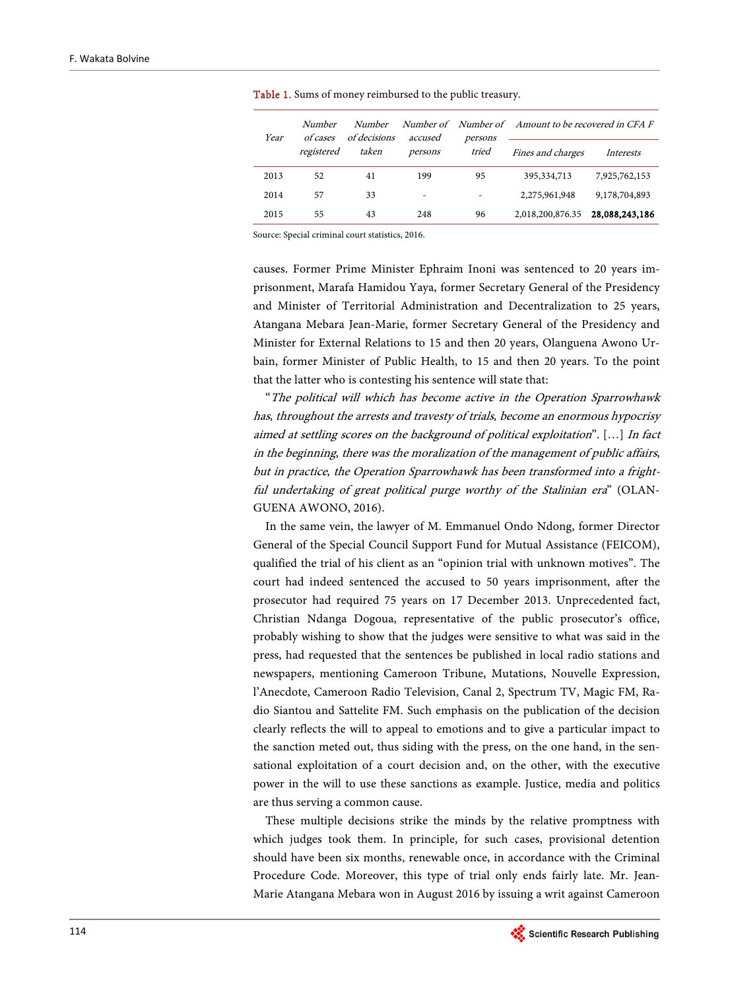| Year | Number<br>of cases<br>registered | Number<br>of decisions<br>taken | accused<br>persons | persons<br>tried | Number of Number of Amount to be recovered in CFA F |                  |
|------|----------------------------------|---------------------------------|--------------------|------------------|-----------------------------------------------------|------------------|
|      |                                  |                                 |                    |                  | Fines and charges                                   | <i>Interests</i> |
| 2013 | 52                               | 41                              | 199                | 95               | 395, 334, 713                                       | 7,925,762,153    |
| 2014 | 57                               | 33                              | -                  |                  | 2,275,961,948                                       | 9,178,704,893    |
| 2015 | 55                               | 43                              | 248                | 96               | 2,018,200,876.35                                    | 28,088,243,186   |

<span id="page-16-0"></span>Table 1. Sums of money reimbursed to the public treasury.

Source: Special criminal court statistics, 2016.

causes. Former Prime Minister Ephraim Inoni was sentenced to 20 years imprisonment, Marafa Hamidou Yaya, former Secretary General of the Presidency and Minister of Territorial Administration and Decentralization to 25 years, Atangana Mebara Jean-Marie, former Secretary General of the Presidency and Minister for External Relations to 15 and then 20 years, Olanguena Awono Urbain, former Minister of Public Health, to 15 and then 20 years. To the point that the latter who is contesting his sentence will state that:

"The political will which has become active in the Operation Sparrowhawk has, throughout the arrests and travesty of trials, become an enormous hypocrisy aimed at settling scores on the background of political exploitation". […] In fact in the beginning, there was the moralization of the management of public affairs, but in practice, the Operation Sparrowhawk has been transformed into a frightful undertaking of great political purge worthy of the Stalinian era" (OLAN-GUENA AWONO, 2016).

In the same vein, the lawyer of M. Emmanuel Ondo Ndong, former Director General of the Special Council Support Fund for Mutual Assistance (FEICOM), qualified the trial of his client as an "opinion trial with unknown motives". The court had indeed sentenced the accused to 50 years imprisonment, after the prosecutor had required 75 years on 17 December 2013. Unprecedented fact, Christian Ndanga Dogoua, representative of the public prosecutor's office, probably wishing to show that the judges were sensitive to what was said in the press, had requested that the sentences be published in local radio stations and newspapers, mentioning Cameroon Tribune, Mutations, Nouvelle Expression, l'Anecdote, Cameroon Radio Television, Canal 2, Spectrum TV, Magic FM, Radio Siantou and Sattelite FM. Such emphasis on the publication of the decision clearly reflects the will to appeal to emotions and to give a particular impact to the sanction meted out, thus siding with the press, on the one hand, in the sensational exploitation of a court decision and, on the other, with the executive power in the will to use these sanctions as example. Justice, media and politics are thus serving a common cause.

These multiple decisions strike the minds by the relative promptness with which judges took them. In principle, for such cases, provisional detention should have been six months, renewable once, in accordance with the Criminal Procedure Code. Moreover, this type of trial only ends fairly late. Mr. Jean-Marie Atangana Mebara won in August 2016 by issuing a writ against Cameroon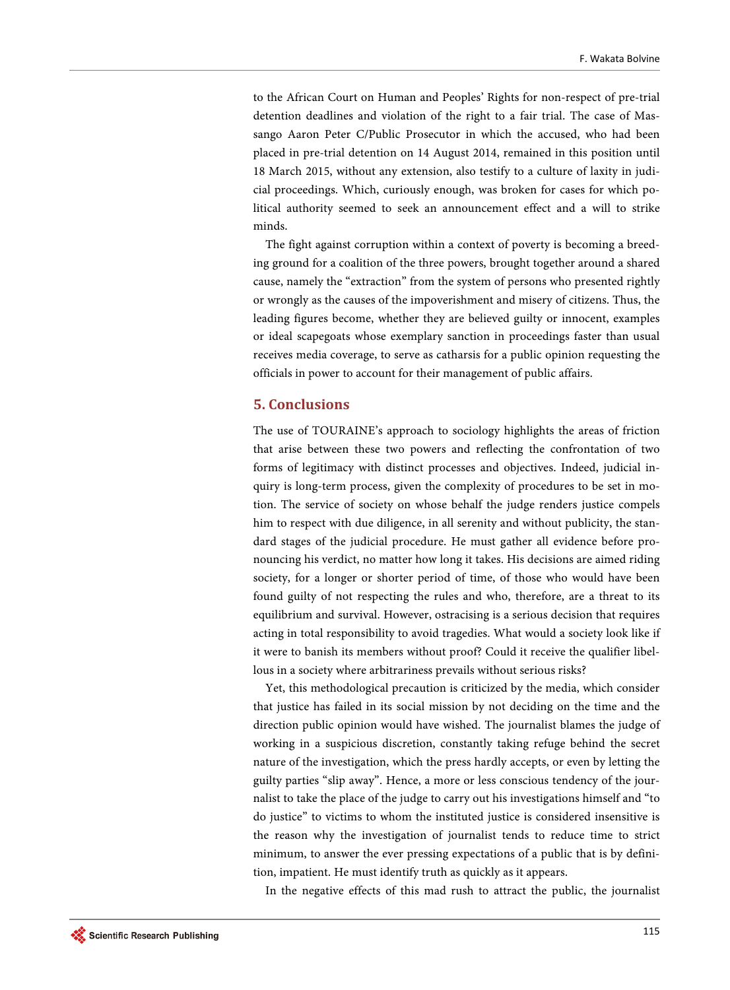to the African Court on Human and Peoples' Rights for non-respect of pre-trial detention deadlines and violation of the right to a fair trial. The case of Massango Aaron Peter C/Public Prosecutor in which the accused, who had been placed in pre-trial detention on 14 August 2014, remained in this position until 18 March 2015, without any extension, also testify to a culture of laxity in judicial proceedings. Which, curiously enough, was broken for cases for which political authority seemed to seek an announcement effect and a will to strike minds.

The fight against corruption within a context of poverty is becoming a breeding ground for a coalition of the three powers, brought together around a shared cause, namely the "extraction" from the system of persons who presented rightly or wrongly as the causes of the impoverishment and misery of citizens. Thus, the leading figures become, whether they are believed guilty or innocent, examples or ideal scapegoats whose exemplary sanction in proceedings faster than usual receives media coverage, to serve as catharsis for a public opinion requesting the officials in power to account for their management of public affairs.

# **5. Conclusions**

The use of TOURAINE's approach to sociology highlights the areas of friction that arise between these two powers and reflecting the confrontation of two forms of legitimacy with distinct processes and objectives. Indeed, judicial inquiry is long-term process, given the complexity of procedures to be set in motion. The service of society on whose behalf the judge renders justice compels him to respect with due diligence, in all serenity and without publicity, the standard stages of the judicial procedure. He must gather all evidence before pronouncing his verdict, no matter how long it takes. His decisions are aimed riding society, for a longer or shorter period of time, of those who would have been found guilty of not respecting the rules and who, therefore, are a threat to its equilibrium and survival. However, ostracising is a serious decision that requires acting in total responsibility to avoid tragedies. What would a society look like if it were to banish its members without proof? Could it receive the qualifier libellous in a society where arbitrariness prevails without serious risks?

Yet, this methodological precaution is criticized by the media, which consider that justice has failed in its social mission by not deciding on the time and the direction public opinion would have wished. The journalist blames the judge of working in a suspicious discretion, constantly taking refuge behind the secret nature of the investigation, which the press hardly accepts, or even by letting the guilty parties "slip away". Hence, a more or less conscious tendency of the journalist to take the place of the judge to carry out his investigations himself and "to do justice" to victims to whom the instituted justice is considered insensitive is the reason why the investigation of journalist tends to reduce time to strict minimum, to answer the ever pressing expectations of a public that is by definition, impatient. He must identify truth as quickly as it appears.

In the negative effects of this mad rush to attract the public, the journalist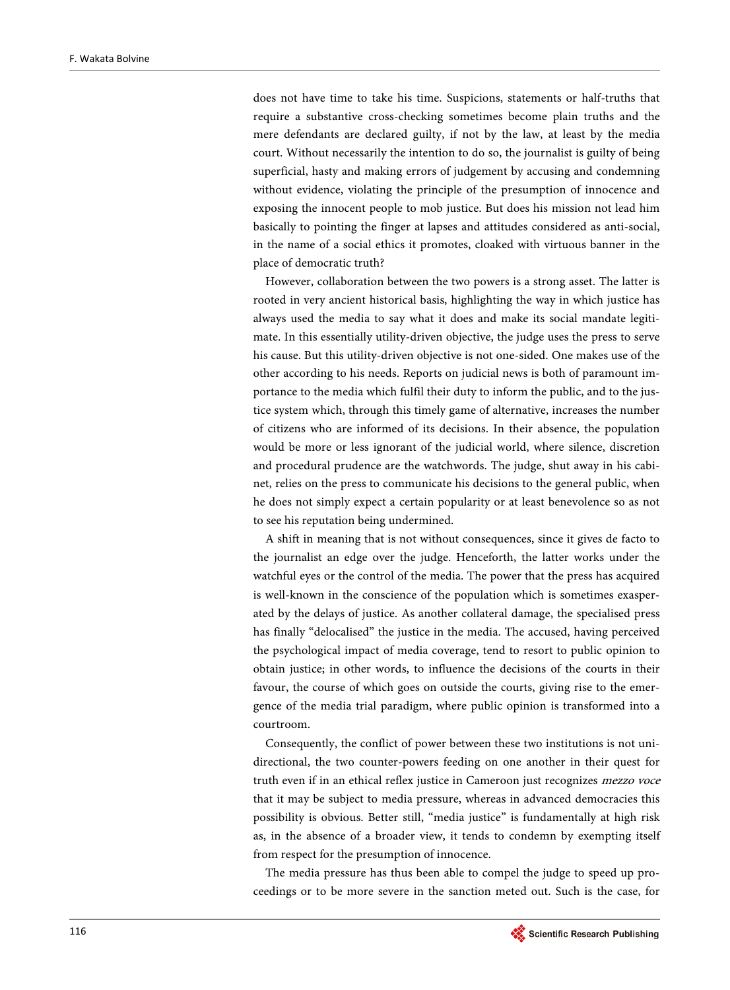does not have time to take his time. Suspicions, statements or half-truths that require a substantive cross-checking sometimes become plain truths and the mere defendants are declared guilty, if not by the law, at least by the media court. Without necessarily the intention to do so, the journalist is guilty of being superficial, hasty and making errors of judgement by accusing and condemning without evidence, violating the principle of the presumption of innocence and exposing the innocent people to mob justice. But does his mission not lead him basically to pointing the finger at lapses and attitudes considered as anti-social, in the name of a social ethics it promotes, cloaked with virtuous banner in the place of democratic truth?

However, collaboration between the two powers is a strong asset. The latter is rooted in very ancient historical basis, highlighting the way in which justice has always used the media to say what it does and make its social mandate legitimate. In this essentially utility-driven objective, the judge uses the press to serve his cause. But this utility-driven objective is not one-sided. One makes use of the other according to his needs. Reports on judicial news is both of paramount importance to the media which fulfil their duty to inform the public, and to the justice system which, through this timely game of alternative, increases the number of citizens who are informed of its decisions. In their absence, the population would be more or less ignorant of the judicial world, where silence, discretion and procedural prudence are the watchwords. The judge, shut away in his cabinet, relies on the press to communicate his decisions to the general public, when he does not simply expect a certain popularity or at least benevolence so as not to see his reputation being undermined.

A shift in meaning that is not without consequences, since it gives de facto to the journalist an edge over the judge. Henceforth, the latter works under the watchful eyes or the control of the media. The power that the press has acquired is well-known in the conscience of the population which is sometimes exasperated by the delays of justice. As another collateral damage, the specialised press has finally "delocalised" the justice in the media. The accused, having perceived the psychological impact of media coverage, tend to resort to public opinion to obtain justice; in other words, to influence the decisions of the courts in their favour, the course of which goes on outside the courts, giving rise to the emergence of the media trial paradigm, where public opinion is transformed into a courtroom.

Consequently, the conflict of power between these two institutions is not unidirectional, the two counter-powers feeding on one another in their quest for truth even if in an ethical reflex justice in Cameroon just recognizes mezzo voce that it may be subject to media pressure, whereas in advanced democracies this possibility is obvious. Better still, "media justice" is fundamentally at high risk as, in the absence of a broader view, it tends to condemn by exempting itself from respect for the presumption of innocence.

The media pressure has thus been able to compel the judge to speed up proceedings or to be more severe in the sanction meted out. Such is the case, for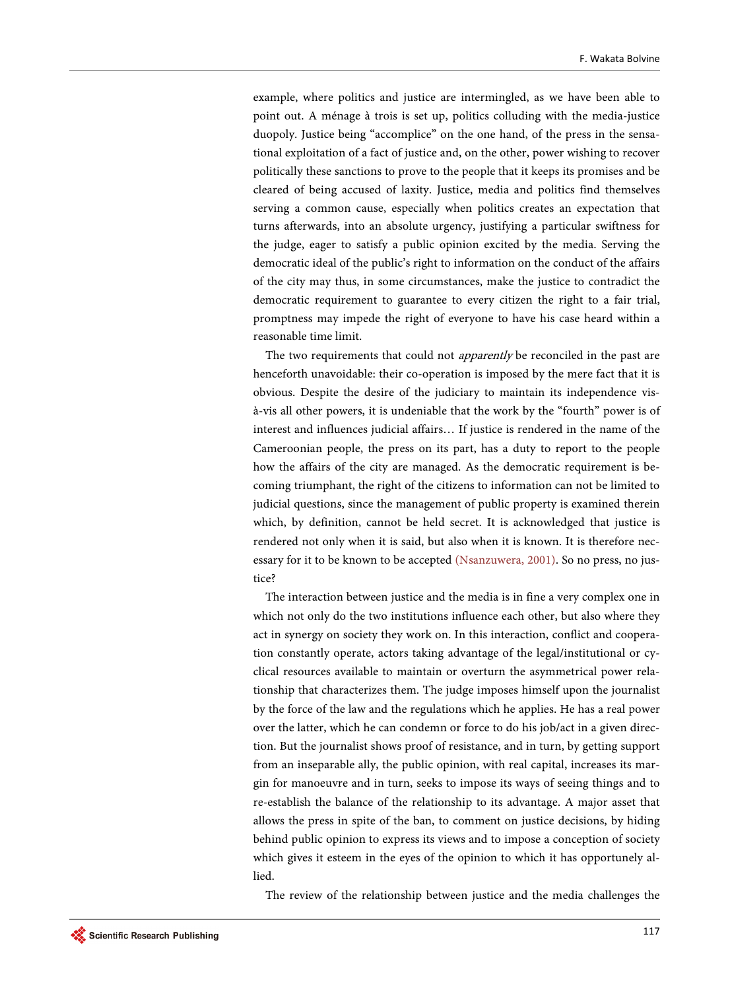example, where politics and justice are intermingled, as we have been able to point out. A ménage à trois is set up, politics colluding with the media-justice duopoly. Justice being "accomplice" on the one hand, of the press in the sensational exploitation of a fact of justice and, on the other, power wishing to recover politically these sanctions to prove to the people that it keeps its promises and be cleared of being accused of laxity. Justice, media and politics find themselves serving a common cause, especially when politics creates an expectation that turns afterwards, into an absolute urgency, justifying a particular swiftness for the judge, eager to satisfy a public opinion excited by the media. Serving the democratic ideal of the public's right to information on the conduct of the affairs of the city may thus, in some circumstances, make the justice to contradict the democratic requirement to guarantee to every citizen the right to a fair trial, promptness may impede the right of everyone to have his case heard within a reasonable time limit.

The two requirements that could not *apparently* be reconciled in the past are henceforth unavoidable: their co-operation is imposed by the mere fact that it is obvious. Despite the desire of the judiciary to maintain its independence visà-vis all other powers, it is undeniable that the work by the "fourth" power is of interest and influences judicial affairs… If justice is rendered in the name of the Cameroonian people, the press on its part, has a duty to report to the people how the affairs of the city are managed. As the democratic requirement is becoming triumphant, the right of the citizens to information can not be limited to judicial questions, since the management of public property is examined therein which, by definition, cannot be held secret. It is acknowledged that justice is rendered not only when it is said, but also when it is known. It is therefore necessary for it to be known to be accepted [\(Nsanzuwera, 2001\).](#page-21-17) So no press, no justice?

The interaction between justice and the media is in fine a very complex one in which not only do the two institutions influence each other, but also where they act in synergy on society they work on. In this interaction, conflict and cooperation constantly operate, actors taking advantage of the legal/institutional or cyclical resources available to maintain or overturn the asymmetrical power relationship that characterizes them. The judge imposes himself upon the journalist by the force of the law and the regulations which he applies. He has a real power over the latter, which he can condemn or force to do his job/act in a given direction. But the journalist shows proof of resistance, and in turn, by getting support from an inseparable ally, the public opinion, with real capital, increases its margin for manoeuvre and in turn, seeks to impose its ways of seeing things and to re-establish the balance of the relationship to its advantage. A major asset that allows the press in spite of the ban, to comment on justice decisions, by hiding behind public opinion to express its views and to impose a conception of society which gives it esteem in the eyes of the opinion to which it has opportunely allied.

The review of the relationship between justice and the media challenges the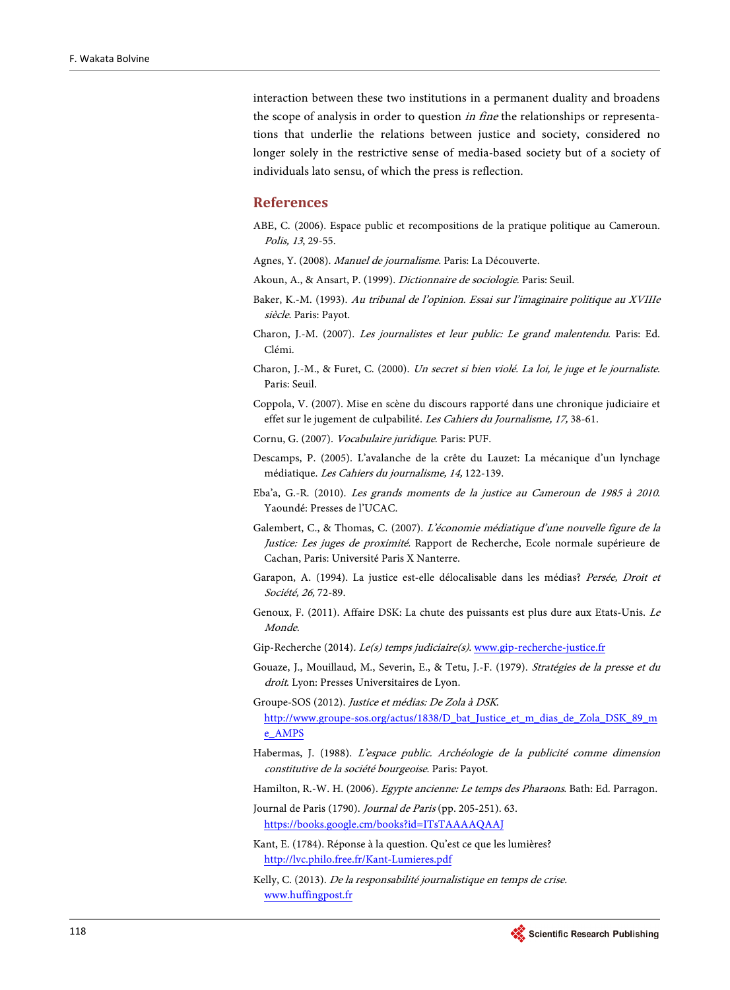interaction between these two institutions in a permanent duality and broadens the scope of analysis in order to question in fine the relationships or representations that underlie the relations between justice and society, considered no longer solely in the restrictive sense of media-based society but of a society of individuals lato sensu, of which the press is reflection.

# **References**

- <span id="page-20-10"></span>ABE, C. (2006). Espace public et recompositions de la pratique politique au Cameroun. Polis, 13, 29-55.
- Agnes, Y. (2008). Manuel de journalisme. Paris: La Découverte.
- <span id="page-20-7"></span><span id="page-20-5"></span><span id="page-20-0"></span>Akoun, A., & Ansart, P. (1999). Dictionnaire de sociologie. Paris: Seuil.
- Baker, K.-M. (1993). Au tribunal de l'opinion. Essai sur l'imaginaire politique au XVIIIe siècle. Paris: Payot.
- <span id="page-20-1"></span>Charon, J.-M. (2007). Les journalistes et leur public: Le grand malentendu. Paris: Ed. Clémi.
- <span id="page-20-15"></span>Charon, J.-M., & Furet, C. (2000). Un secret si bien violé. La loi, le juge et le journaliste. Paris: Seuil.
- <span id="page-20-2"></span>Coppola, V. (2007). Mise en scène du discours rapporté dans une chronique judiciaire et effet sur le jugement de culpabilité. Les Cahiers du Journalisme, 17, 38-61.
- <span id="page-20-19"></span>Cornu, G. (2007). Vocabulaire juridique. Paris: PUF.
- <span id="page-20-8"></span>Descamps, P. (2005). L'avalanche de la crête du Lauzet: La mécanique d'un lynchage médiatique. Les Cahiers du journalisme, 14, 122-139.
- <span id="page-20-3"></span>Eba'a, G.-R. (2010). Les grands moments de la justice au Cameroun de 1985 à 2010. Yaoundé: Presses de l'UCAC.
- <span id="page-20-4"></span>Galembert, C., & Thomas, C. (2007). L'économie médiatique d'une nouvelle figure de la Justice: Les juges de proximité. Rapport de Recherche, Ecole normale supérieure de Cachan, Paris: Université Paris X Nanterre.
- <span id="page-20-9"></span>Garapon, A. (1994). La justice est-elle délocalisable dans les médias? Persée, Droit et Société, 26, 72-89.
- <span id="page-20-17"></span>Genoux, F. (2011). Affaire DSK: La chute des puissants est plus dure aux Etats-Unis. Le Monde.
- <span id="page-20-14"></span>Gip-Recherche (2014). Le(s) temps judiciaire(s). [www.gip-recherche-justice.fr](http://www.gip-recherche-justice.fr/)
- <span id="page-20-18"></span>Gouaze, J., Mouillaud, M., Severin, E., & Tetu, J.-F. (1979). Stratégies de la presse et du droit. Lyon: Presses Universitaires de Lyon.
- <span id="page-20-16"></span>Groupe-SOS (2012). Justice et médias: De Zola à DSK. [http://www.groupe-sos.org/actus/1838/D\\_bat\\_Justice\\_et\\_m\\_dias\\_de\\_Zola\\_DSK\\_89\\_m](http://www.groupe-sos.org/actus/1838/D_bat_Justice_et_m_dias_de_Zola_DSK_89_me_AMPS) [e\\_AMPS](http://www.groupe-sos.org/actus/1838/D_bat_Justice_et_m_dias_de_Zola_DSK_89_me_AMPS)
- <span id="page-20-13"></span>Habermas, J. (1988). L'espace public. Archéologie de la publicité comme dimension constitutive de la société bourgeoise. Paris: Payot.

<span id="page-20-6"></span>Hamilton, R.-W. H. (2006). Egypte ancienne: Le temps des Pharaons. Bath: Ed. Parragon.

- Journal de Paris (1790). Journal de Paris (pp. 205-251). 63. <https://books.google.cm/books?id=ITsTAAAAQAAJ>
- <span id="page-20-11"></span>Kant, E. (1784). Réponse à la question. Qu'est ce que les lumières? <http://lvc.philo.free.fr/Kant-Lumieres.pdf>
- <span id="page-20-12"></span>Kelly, C. (2013). De la responsabilité journalistique en temps de crise. [www.huffingpost.fr](http://www.huffingpost.fr/)

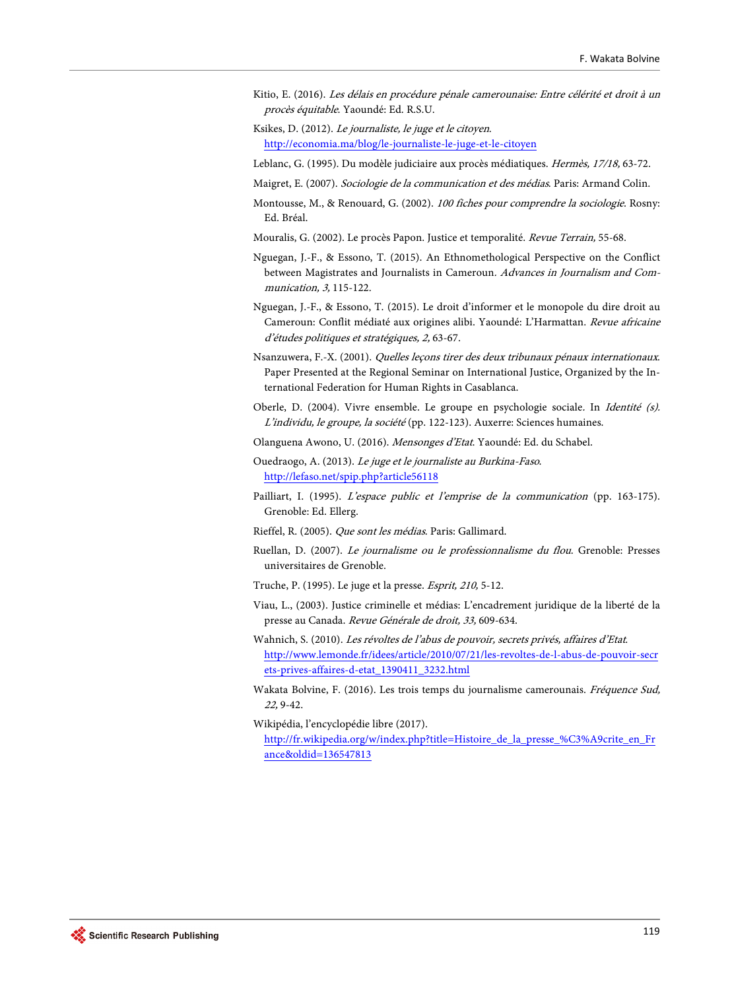- <span id="page-21-12"></span>Kitio, E. (2016). Les délais en procédure pénale camerounaise: Entre célérité et droit à un procès équitable. Yaoundé: Ed. R.S.U.
- <span id="page-21-2"></span>Ksikes, D. (2012). Le journaliste, le juge et le citoyen. <http://economia.ma/blog/le-journaliste-le-juge-et-le-citoyen>
- <span id="page-21-14"></span>Leblanc, G. (1995). Du modèle judiciaire aux procès médiatiques. Hermès, 17/18, 63-72.
- <span id="page-21-16"></span><span id="page-21-6"></span>Maigret, E. (2007). Sociologie de la communication et des médias. Paris: Armand Colin.
- Montousse, M., & Renouard, G. (2002). 100 fiches pour comprendre la sociologie. Rosny: Ed. Bréal.
- <span id="page-21-1"></span>Mouralis, G. (2002). Le procès Papon. Justice et temporalité. Revue Terrain, 55-68.
- <span id="page-21-3"></span>Nguegan, J.-F., & Essono, T. (2015). An Ethnomethological Perspective on the Conflict between Magistrates and Journalists in Cameroun. Advances in Journalism and Communication, 3, 115-122.
- Nguegan, J.-F., & Essono, T. (2015). Le droit d'informer et le monopole du dire droit au Cameroun: Conflit médiaté aux origines alibi. Yaoundé: L'Harmattan. Revue africaine d'études politiques et stratégiques, 2, 63-67.
- <span id="page-21-17"></span>Nsanzuwera, F.-X. (2001). Quelles leçons tirer des deux tribunaux pénaux internationaux. Paper Presented at the Regional Seminar on International Justice, Organized by the International Federation for Human Rights in Casablanca.
- <span id="page-21-4"></span>Oberle, D. (2004). Vivre ensemble. Le groupe en psychologie sociale. In Identité (s). L'individu, le groupe, la société (pp. 122-123). Auxerre: Sciences humaines.
- Olanguena Awono, U. (2016). Mensonges d'Etat. Yaoundé: Ed. du Schabel.
- <span id="page-21-15"></span><span id="page-21-10"></span>Ouedraogo, A. (2013). Le juge et le journaliste au Burkina-Faso. <http://lefaso.net/spip.php?article56118>
- <span id="page-21-11"></span>Pailliart, I. (1995). L'espace public et l'emprise de la communication (pp. 163-175). Grenoble: Ed. Ellerg.
- <span id="page-21-0"></span>Rieffel, R. (2005). Que sont les médias. Paris: Gallimard.
- <span id="page-21-7"></span>Ruellan, D. (2007). Le journalisme ou le professionnalisme du flou. Grenoble: Presses universitaires de Grenoble.
- <span id="page-21-5"></span>Truche, P. (1995). Le juge et la presse. Esprit, 210, 5-12.
- <span id="page-21-13"></span>Viau, L., (2003). Justice criminelle et médias: L'encadrement juridique de la liberté de la presse au Canada. Revue Générale de droit, 33, 609-634.
- <span id="page-21-8"></span>Wahnich, S. (2010). Les révoltes de l'abus de pouvoir, secrets privés, affaires d'Etat. [http://www.lemonde.fr/idees/article/2010/07/21/les-revoltes-de-l-abus-de-pouvoir-secr](http://www.lemonde.fr/idees/article/2010/07/21/les-revoltes-de-l-abus-de-pouvoir-secrets-prives-affaires-d-etat_1390411_3232.html) [ets-prives-affaires-d-etat\\_1390411\\_3232.html](http://www.lemonde.fr/idees/article/2010/07/21/les-revoltes-de-l-abus-de-pouvoir-secrets-prives-affaires-d-etat_1390411_3232.html)
- <span id="page-21-9"></span>Wakata Bolvine, F. (2016). Les trois temps du journalisme camerounais. Fréquence Sud, 22, 9-42.
- Wikipédia, l'encyclopédie libre (2017). [http://fr.wikipedia.org/w/index.php?title=Histoire\\_de\\_la\\_presse\\_%C3%A9crite\\_en\\_Fr](http://fr.wikipedia.org/w/index.php?title=Histoire_de_la_presse_%C3%A9crite_en_France&oldid=136547813) [ance&oldid=136547813](http://fr.wikipedia.org/w/index.php?title=Histoire_de_la_presse_%C3%A9crite_en_France&oldid=136547813)